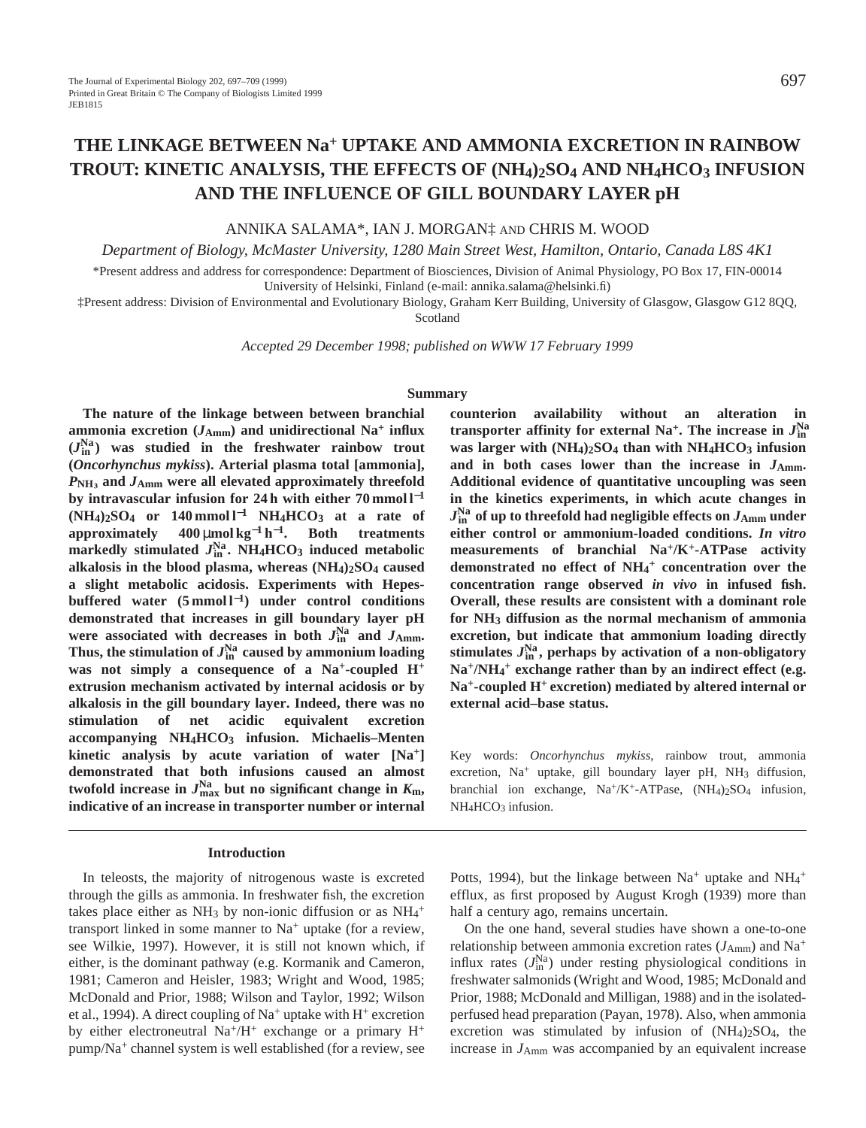# **THE LINKAGE BETWEEN Na+ UPTAKE AND AMMONIA EXCRETION IN RAINBOW TROUT: KINETIC ANALYSIS, THE EFFECTS OF (NH4)2SO4 AND NH4HCO3 INFUSION AND THE INFLUENCE OF GILL BOUNDARY LAYER pH**

ANNIKA SALAMA\*, IAN J. MORGAN‡ AND CHRIS M. WOOD

*Department of Biology, McMaster University, 1280 Main Street West, Hamilton, Ontario, Canada L8S 4K1*

\*Present address and address for correspondence: Department of Biosciences, Division of Animal Physiology, PO Box 17, FIN-00014 University of Helsinki, Finland (e-mail: annika.salama@helsinki.fi)

‡Present address: Division of Environmental and Evolutionary Biology, Graham Kerr Building, University of Glasgow, Glasgow G12 8QQ, Scotland

*Accepted 29 December 1998; published on WWW 17 February 1999*

#### **Summary**

**The nature of the linkage between between branchial** ammonia excretion  $(J_{Amm})$  and unidirectional Na<sup>+</sup> influx **(***J***Na in ) was studied in the freshwater rainbow trout (***Oncorhynchus mykiss***). Arterial plasma total [ammonia],** *P***NH´ and** *J***Amm were all elevated approximately threefold by intravascular infusion for 24 h with either 70 mmol l**−**<sup>1</sup> (NH4)2SO4 or 140 mmol l**−**<sup>1</sup> NH4HCO3 at a rate of approximately 400** µ**mol kg**−**<sup>1</sup> h**<sup>−</sup>**1. Both treatments markedly stimulated**  $J_{\text{in}}^{\text{Na}}$ **. NH<sub>4</sub>HCO<sub>3</sub> induced metabolic alkalosis in the blood plasma, whereas (NH4)2SO4 caused a slight metabolic acidosis. Experiments with Hepesbuffered water (5 mmol l**<sup>−</sup>**1) under control conditions demonstrated that increases in gill boundary layer pH** were associated with decreases in both  $J_{\text{in}}^{\text{Na}}$  and  $J_{\text{Amm}}$ . Thus, the stimulation of  $J_{\text{in}}^{\text{Na}}$  caused by ammonium loading **was not simply a consequence of a Na+-coupled H+ extrusion mechanism activated by internal acidosis or by alkalosis in the gill boundary layer. Indeed, there was no stimulation of net acidic equivalent excretion accompanying NH4HCO3 infusion. Michaelis–Menten kinetic analysis by acute variation of water [Na+] demonstrated that both infusions caused an almost**  $t$ wofold increase in  $J_{\text{max}}^{\text{Na}}$  but no significant change in  $K_{\text{m}},$ **indicative of an increase in transporter number or internal**

#### **Introduction**

In teleosts, the majority of nitrogenous waste is excreted through the gills as ammonia. In freshwater fish, the excretion takes place either as NH<sub>3</sub> by non-ionic diffusion or as  $NH<sub>4</sub>$ <sup>+</sup> transport linked in some manner to  $Na<sup>+</sup>$  uptake (for a review, see Wilkie, 1997). However, it is still not known which, if either, is the dominant pathway (e.g. Kormanik and Cameron, 1981; Cameron and Heisler, 1983; Wright and Wood, 1985; McDonald and Prior, 1988; Wilson and Taylor, 1992; Wilson et al., 1994). A direct coupling of  $Na^+$  uptake with  $H^+$  excretion by either electroneutral  $Na^{+}/H^{+}$  exchange or a primary  $H^{+}$ pump/Na<sup>+</sup> channel system is well established (for a review, see

**counterion availability without an alteration in transporter affinity for external Na<sup>+</sup>. The increase in**  $J_{\text{in}}^{\text{Na}}$ **was larger with (NH4)2SO4 than with NH4HCO3 infusion** and in both cases lower than the increase in  $J_{Amm}$ . **Additional evidence of quantitative uncoupling was seen in the kinetics experiments, in which acute changes in**  $J_\mathrm{in}^\mathrm{Na}$  of up to threefold had negligible effects on  $J_\mathrm{Amm}$  under **either control or ammonium-loaded conditions.** *In vitro* **measurements of branchial Na+/K+-ATPase activity demonstrated no effect of NH4 <sup>+</sup> concentration over the concentration range observed** *in vivo* **in infused fish. Overall, these results are consistent with a dominant role for NH3 diffusion as the normal mechanism of ammonia excretion, but indicate that ammonium loading directly stimulates** *J***Na in , perhaps by activation of a non-obligatory Na+/NH4 <sup>+</sup> exchange rather than by an indirect effect (e.g. Na+-coupled H+ excretion) mediated by altered internal or external acid–base status.**

Key words: *Oncorhynchus mykiss*, rainbow trout, ammonia excretion,  $Na^+$  uptake, gill boundary layer pH,  $NH<sub>3</sub>$  diffusion, branchial ion exchange,  $Na^+/K^+$ -ATPase,  $(NH_4)_2SO_4$  infusion,  $NH<sub>4</sub>HCO<sub>3</sub>$  infusion.

Potts, 1994), but the linkage between  $Na<sup>+</sup>$  uptake and  $NH<sub>4</sub><sup>+</sup>$ efflux, as first proposed by August Krogh (1939) more than half a century ago, remains uncertain.

On the one hand, several studies have shown a one-to-one relationship between ammonia excretion rates (*J*Amm) and Na+ influx rates  $(J_{\text{in}}^{\text{Na}})$  under resting physiological conditions in freshwater salmonids (Wright and Wood, 1985; McDonald and Prior, 1988; McDonald and Milligan, 1988) and in the isolatedperfused head preparation (Payan, 1978). Also, when ammonia excretion was stimulated by infusion of (NH4)2SO4, the increase in *J*Amm was accompanied by an equivalent increase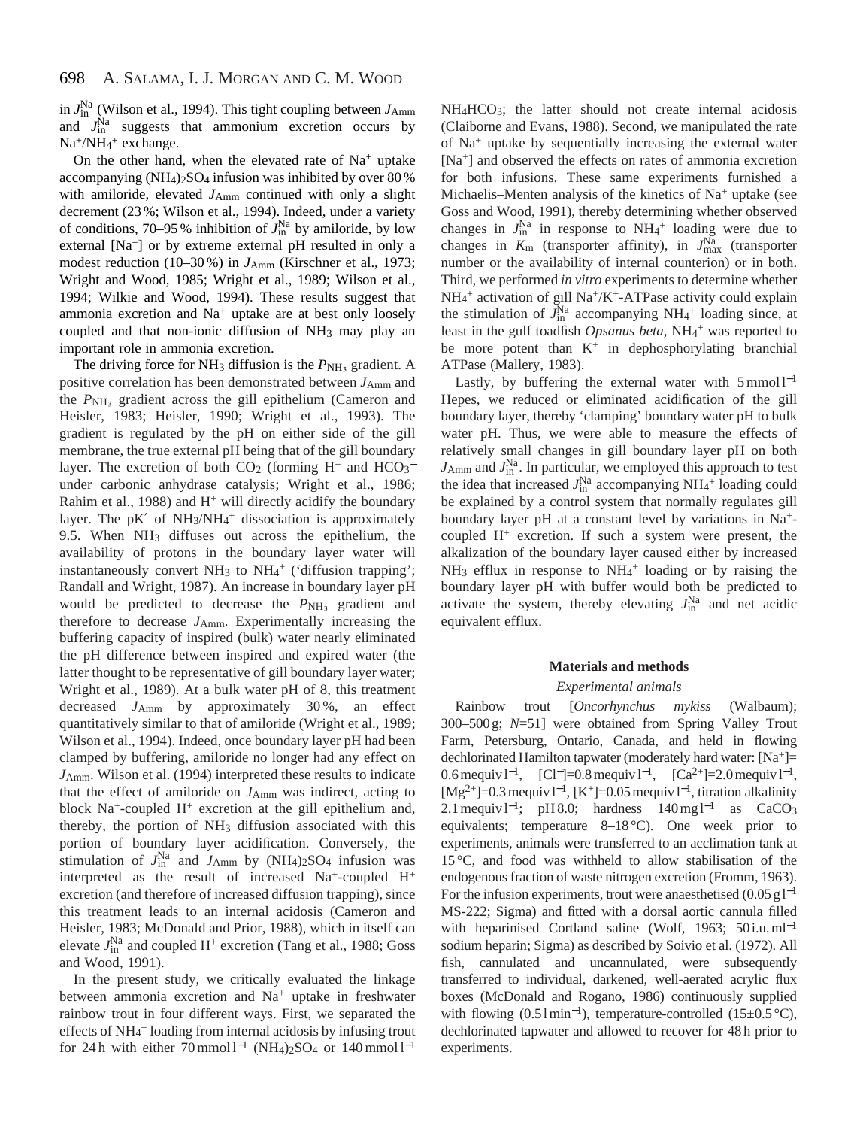in *J*Na in (Wilson et al., 1994). This tight coupling between *J*Amm and  $J_{\text{in}}^{\text{Na}}$  suggests that ammonium excretion occurs by Na<sup>+</sup>/NH<sub>4</sub><sup>+</sup> exchange.

On the other hand, when the elevated rate of  $Na<sup>+</sup>$  uptake accompanying (NH4)2SO4 infusion was inhibited by over 80 % with amiloride, elevated  $J_{Amm}$  continued with only a slight decrement (23 %; Wilson et al., 1994). Indeed, under a variety of conditions, 70–95 % inhibition of  $J_{\text{in}}^{\text{Na}}$  by amiloride, by low external [Na<sup>+</sup>] or by extreme external pH resulted in only a modest reduction (10–30%) in  $J_{Amm}$  (Kirschner et al., 1973; Wright and Wood, 1985; Wright et al., 1989; Wilson et al., 1994; Wilkie and Wood, 1994). These results suggest that ammonia excretion and  $Na<sup>+</sup>$  uptake are at best only loosely coupled and that non-ionic diffusion of NH3 may play an important role in ammonia excretion.

The driving force for NH<sub>3</sub> diffusion is the  $P_{\text{NH}_3}$  gradient. A positive correlation has been demonstrated between  $J_{Amm}$  and the  $P_{\text{NH}_3}$  gradient across the gill epithelium (Cameron and Heisler, 1983; Heisler, 1990; Wright et al., 1993). The gradient is regulated by the pH on either side of the gill membrane, the true external pH being that of the gill boundary layer. The excretion of both  $CO<sub>2</sub>$  (forming H<sup>+</sup> and  $HCO<sub>3</sub>$ <sup>-</sup> under carbonic anhydrase catalysis; Wright et al., 1986; Rahim et al., 1988) and  $H^+$  will directly acidify the boundary layer. The pK' of NH<sub>3</sub>/NH<sub>4</sub><sup>+</sup> dissociation is approximately 9.5. When NH3 diffuses out across the epithelium, the availability of protons in the boundary layer water will instantaneously convert NH<sub>3</sub> to NH<sub>4</sub><sup>+</sup> ('diffusion trapping'; Randall and Wright, 1987). An increase in boundary layer pH would be predicted to decrease the  $P_{\text{NH}_3}$  gradient and therefore to decrease *J*Amm. Experimentally increasing the buffering capacity of inspired (bulk) water nearly eliminated the pH difference between inspired and expired water (the latter thought to be representative of gill boundary layer water; Wright et al., 1989). At a bulk water pH of 8, this treatment decreased *J*Amm by approximately 30 %, an effect quantitatively similar to that of amiloride (Wright et al., 1989; Wilson et al., 1994). Indeed, once boundary layer pH had been clamped by buffering, amiloride no longer had any effect on *J*Amm. Wilson et al. (1994) interpreted these results to indicate that the effect of amiloride on *J*Amm was indirect, acting to block  $Na^+$ -coupled  $H^+$  excretion at the gill epithelium and, thereby, the portion of NH3 diffusion associated with this portion of boundary layer acidification. Conversely, the stimulation of  $J_{\text{in}}^{\text{Na}}$  and  $J_{\text{Amm}}$  by  $(NH_4)_2SO_4$  infusion was interpreted as the result of increased  $Na^+$ -coupled  $H^+$ excretion (and therefore of increased diffusion trapping), since this treatment leads to an internal acidosis (Cameron and Heisler, 1983; McDonald and Prior, 1988), which in itself can elevate  $J_{\text{in}}^{\text{Na}}$  and coupled H<sup>+</sup> excretion (Tang et al., 1988; Goss and Wood, 1991).

In the present study, we critically evaluated the linkage between ammonia excretion and Na<sup>+</sup> uptake in freshwater rainbow trout in four different ways. First, we separated the effects of NH<sub>4</sub><sup>+</sup> loading from internal acidosis by infusing trout for 24 h with either 70 mmol  $l^{-1}$  (NH<sub>4</sub>)<sub>2</sub>SO<sub>4</sub> or 140 mmol  $l^{-1}$  NH<sub>4</sub>HCO<sub>3</sub>; the latter should not create internal acidosis (Claiborne and Evans, 1988). Second, we manipulated the rate of Na+ uptake by sequentially increasing the external water [Na+] and observed the effects on rates of ammonia excretion for both infusions. These same experiments furnished a Michaelis–Menten analysis of the kinetics of Na<sup>+</sup> uptake (see Goss and Wood, 1991), thereby determining whether observed changes in  $J_{\text{in}}^{\text{Na}}$  in response to NH<sub>4</sub><sup>+</sup> loading were due to changes in  $K_{\text{m}}$  (transporter affinity), in  $J_{\text{max}}^{\text{Na}}$  (transporter number or the availability of internal counterion) or in both. Third, we performed *in vitro* experiments to determine whether NH<sub>4</sub><sup>+</sup> activation of gill Na<sup>+</sup>/K<sup>+</sup>-ATPase activity could explain the stimulation of  $J_{\text{in}}^{\text{Na}}$  accompanying NH<sub>4</sub><sup>+</sup> loading since, at least in the gulf toadfish *Opsanus beta*, NH<sub>4</sub><sup>+</sup> was reported to be more potent than  $K^+$  in dephosphorylating branchial ATPase (Mallery, 1983).

Lastly, by buffering the external water with  $5 \text{ mmol } 1^{-1}$ Hepes, we reduced or eliminated acidification of the gill boundary layer, thereby 'clamping' boundary water pH to bulk water pH. Thus, we were able to measure the effects of relatively small changes in gill boundary layer pH on both  $J_{Amm}$  and  $J_{\text{in}}^{\text{Na}}$ . In particular, we employed this approach to test the idea that increased  $J_{\text{in}}^{\text{Na}}$  accompanying NH<sub>4</sub><sup>+</sup> loading could be explained by a control system that normally regulates gill boundary layer pH at a constant level by variations in Na+ coupled  $H^+$  excretion. If such a system were present, the alkalization of the boundary layer caused either by increased NH<sub>3</sub> efflux in response to NH<sub>4</sub><sup>+</sup> loading or by raising the boundary layer pH with buffer would both be predicted to activate the system, thereby elevating  $J_{\text{in}}^{\text{Na}}$  and net acidic equivalent efflux.

# **Materials and methods**

### *Experimental animals*

Rainbow trout [*Oncorhynchus mykiss* (Walbaum); 300–500 g; *N*=51] were obtained from Spring Valley Trout Farm, Petersburg, Ontario, Canada, and held in flowing dechlorinated Hamilton tapwater (moderately hard water: [Na+]= 0.6 mequiv l<sup>-1</sup>, [Cl<sup>-</sup>]=0.8 mequiv l<sup>-1</sup>, [Ca<sup>2+</sup>]=2.0 mequiv l<sup>-1</sup>,  $[Mg^{2+}]=0.3$  mequiv l<sup>-1</sup>, [K<sup>+</sup>]=0.05 mequiv l<sup>-1</sup>, titration alkalinity 2.1 mequiv l<sup>-1</sup>; pH 8.0; hardness 140 mg l<sup>-1</sup> as CaCO<sub>3</sub> equivalents; temperature 8–18 °C). One week prior to experiments, animals were transferred to an acclimation tank at 15 °C, and food was withheld to allow stabilisation of the endogenous fraction of waste nitrogen excretion (Fromm, 1963). For the infusion experiments, trout were anaesthetised (0.05 g  $l^{-1}$ ) MS-222; Sigma) and fitted with a dorsal aortic cannula filled with heparinised Cortland saline (Wolf, 1963; 50 i.u. ml<sup>-1</sup> sodium heparin; Sigma) as described by Soivio et al. (1972). All fish, cannulated and uncannulated, were subsequently transferred to individual, darkened, well-aerated acrylic flux boxes (McDonald and Rogano, 1986) continuously supplied with flowing  $(0.51 \text{min}^{-1})$ , temperature-controlled  $(15\pm0.5 \text{ °C})$ , dechlorinated tapwater and allowed to recover for 48 h prior to experiments.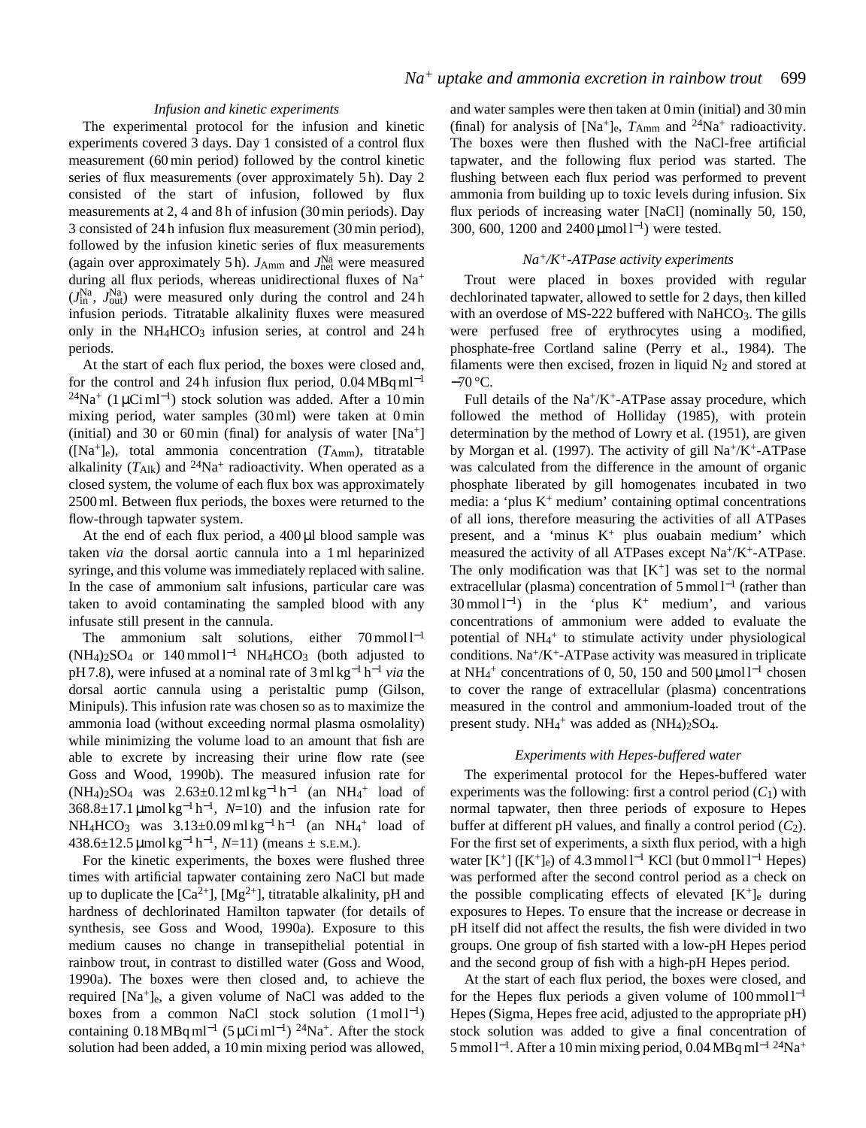# *Infusion and kinetic experiments*

The experimental protocol for the infusion and kinetic experiments covered 3 days. Day 1 consisted of a control flux measurement (60 min period) followed by the control kinetic series of flux measurements (over approximately 5 h). Day 2 consisted of the start of infusion, followed by flux measurements at 2, 4 and 8 h of infusion (30 min periods). Day 3 consisted of 24 h infusion flux measurement (30 min period), followed by the infusion kinetic series of flux measurements (again over approximately 5 h).  $J_{Amm}$  and  $J_{net}^{Na}$  were measured during all flux periods, whereas unidirectional fluxes of Na+  $(J_{\text{in}}^{\text{Na}}$ ,  $J_{\text{out}}^{\text{Na}})$  were measured only during the control and 24 h infusion periods. Titratable alkalinity fluxes were measured only in the NH<sub>4</sub>HCO<sub>3</sub> infusion series, at control and 24 h periods.

At the start of each flux period, the boxes were closed and, for the control and 24 h infusion flux period,  $0.04 \text{ MBq} \text{ml}^{-1}$ <sup>24</sup>Na<sup>+</sup> (1 µCi ml<sup>-1</sup>) stock solution was added. After a 10 min mixing period, water samples (30 ml) were taken at 0 min (initial) and 30 or 60 min (final) for analysis of water  $[Na^+]$  $([Na<sup>+</sup>]e)$ , total ammonia concentration  $(T<sub>Amm</sub>)$ , titratable alkalinity  $(T_{\text{Alk}})$  and  $^{24}\text{Na}^+$  radioactivity. When operated as a closed system, the volume of each flux box was approximately 2500 ml. Between flux periods, the boxes were returned to the flow-through tapwater system.

At the end of each flux period, a  $400 \mu l$  blood sample was taken *via* the dorsal aortic cannula into a 1 ml heparinized syringe, and this volume was immediately replaced with saline. In the case of ammonium salt infusions, particular care was taken to avoid contaminating the sampled blood with any infusate still present in the cannula.

The ammonium salt solutions, either  $70 \text{ mmol } 1^{-1}$ (NH4)2SO4 or 140 mmol l−<sup>1</sup> NH4HCO3 (both adjusted to pH 7.8), were infused at a nominal rate of 3 ml kg−<sup>1</sup> h−<sup>1</sup> *via* the dorsal aortic cannula using a peristaltic pump (Gilson, Minipuls). This infusion rate was chosen so as to maximize the ammonia load (without exceeding normal plasma osmolality) while minimizing the volume load to an amount that fish are able to excrete by increasing their urine flow rate (see Goss and Wood, 1990b). The measured infusion rate for  $(NH<sub>4</sub>)<sub>2</sub>SO<sub>4</sub>$  was 2.63±0.12 ml kg<sup>-1</sup> h<sup>-1</sup> (an NH<sub>4</sub><sup>+</sup> load of  $368.8\pm17.1 \,\mathrm{\mu}$ mol kg<sup>-1</sup> h<sup>-1</sup>, N=10) and the infusion rate for NH<sub>4</sub>HCO<sub>3</sub> was  $3.13 \pm 0.09 \text{ ml kg}^{-1} \text{ h}^{-1}$  (an NH<sub>4</sub><sup>+</sup> load of 438.6±12.5 µmol kg−<sup>1</sup> h<sup>−</sup>1, *N*=11) (means ± S.E.M.).

For the kinetic experiments, the boxes were flushed three times with artificial tapwater containing zero NaCl but made up to duplicate the  $[Ca^{2+}]$ ,  $[Mg^{2+}]$ , titratable alkalinity, pH and hardness of dechlorinated Hamilton tapwater (for details of synthesis, see Goss and Wood, 1990a). Exposure to this medium causes no change in transepithelial potential in rainbow trout, in contrast to distilled water (Goss and Wood, 1990a). The boxes were then closed and, to achieve the required [Na+]e, a given volume of NaCl was added to the boxes from a common NaCl stock solution  $(1 \text{ mol } l^{-1})$ containing  $0.18 \text{ MBq} \text{ ml}^{-1}$  (5 µCi ml<sup>-1</sup>) <sup>24</sup>Na<sup>+</sup>. After the stock solution had been added, a 10 min mixing period was allowed,

and water samples were then taken at 0 min (initial) and 30 min (final) for analysis of  $[Na^+]_e$ ,  $T_{Amm}$  and  $^{24}Na^+$  radioactivity. The boxes were then flushed with the NaCl-free artificial tapwater, and the following flux period was started. The flushing between each flux period was performed to prevent ammonia from building up to toxic levels during infusion. Six flux periods of increasing water [NaCl] (nominally 50, 150, 300, 600, 1200 and 2400 μmol l<sup>-1</sup>) were tested.

# *Na+/K+-ATPase activity experiments*

Trout were placed in boxes provided with regular dechlorinated tapwater, allowed to settle for 2 days, then killed with an overdose of MS-222 buffered with NaHCO<sub>3</sub>. The gills were perfused free of erythrocytes using a modified, phosphate-free Cortland saline (Perry et al., 1984). The filaments were then excised, frozen in liquid  $N_2$  and stored at −70 °C.

Full details of the  $Na^{+}/K^{+}$ -ATPase assay procedure, which followed the method of Holliday (1985), with protein determination by the method of Lowry et al. (1951), are given by Morgan et al. (1997). The activity of gill  $Na^+/K^+$ -ATPase was calculated from the difference in the amount of organic phosphate liberated by gill homogenates incubated in two media: a 'plus  $K^+$  medium' containing optimal concentrations of all ions, therefore measuring the activities of all ATPases present, and a 'minus  $K^+$  plus ouabain medium' which measured the activity of all ATPases except Na+/K+-ATPase. The only modification was that  $[K^+]$  was set to the normal extracellular (plasma) concentration of 5 mmol l<sup>-1</sup> (rather than  $30 \text{ mmol } 1^{-1}$ ) in the 'plus K<sup>+</sup> medium', and various concentrations of ammonium were added to evaluate the potential of NH<sub>4</sub><sup>+</sup> to stimulate activity under physiological conditions.  $Na^{+}/K^{+}$ -ATPase activity was measured in triplicate at NH<sub>4</sub><sup>+</sup> concentrations of 0, 50, 150 and 500 µmol  $l^{-1}$  chosen to cover the range of extracellular (plasma) concentrations measured in the control and ammonium-loaded trout of the present study.  $NH_4$ <sup>+</sup> was added as  $(NH_4)_2SO_4$ .

## *Experiments with Hepes-buffered water*

The experimental protocol for the Hepes-buffered water experiments was the following: first a control period  $(C_1)$  with normal tapwater, then three periods of exposure to Hepes buffer at different pH values, and finally a control period (*C*2). For the first set of experiments, a sixth flux period, with a high water  $[K^+]$  ( $[K^+]_e$ ) of 4.3 mmol l<sup>-1</sup> KCl (but 0 mmol l<sup>-1</sup> Hepes) was performed after the second control period as a check on the possible complicating effects of elevated  $[K^+]_e$  during exposures to Hepes. To ensure that the increase or decrease in pH itself did not affect the results, the fish were divided in two groups. One group of fish started with a low-pH Hepes period and the second group of fish with a high-pH Hepes period.

At the start of each flux period, the boxes were closed, and for the Hepes flux periods a given volume of  $100 \text{ mmol } 1^{-1}$ Hepes (Sigma, Hepes free acid, adjusted to the appropriate pH) stock solution was added to give a final concentration of 5 mmol l<sup>−</sup>1. After a 10 min mixing period, 0.04 MBq ml−1 24Na+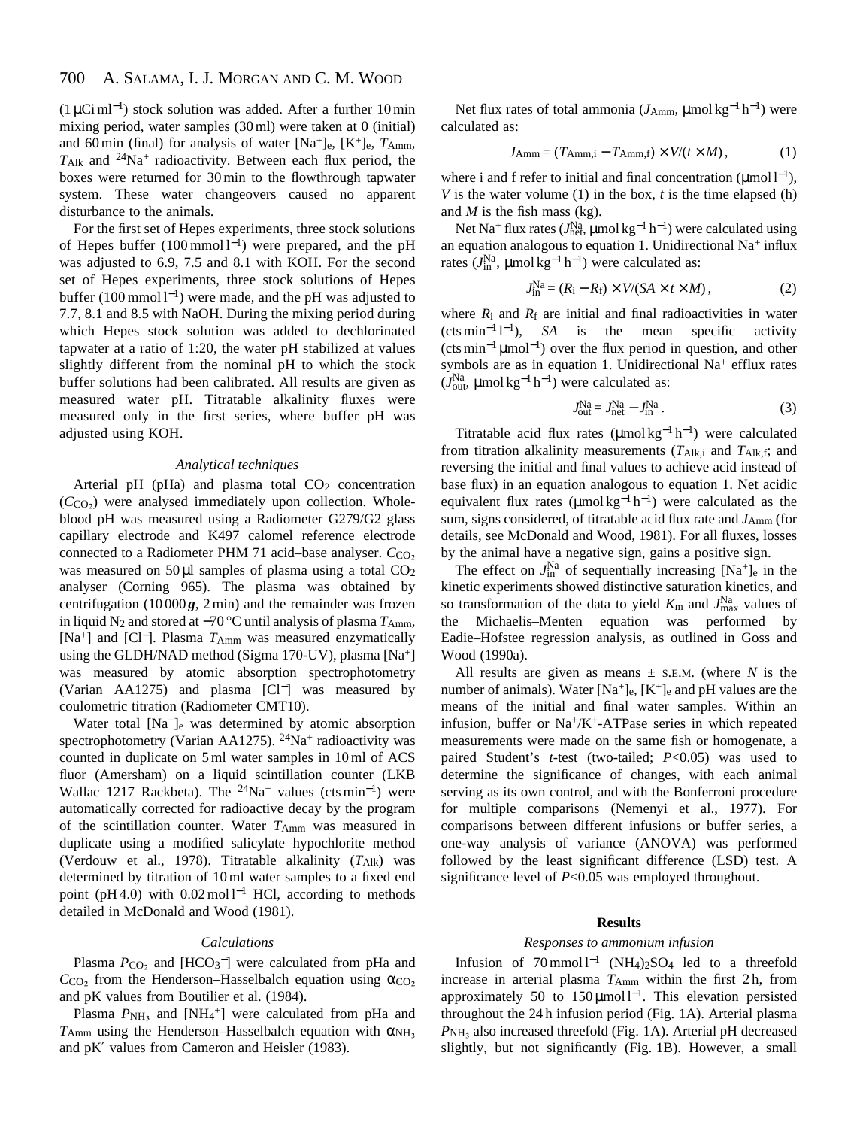#### 700 A. SALAMA, I. J. MORGAN AND C. M. WOOD

(1 µCi ml<sup>−</sup>1) stock solution was added. After a further 10 min mixing period, water samples (30 ml) were taken at 0 (initial) and 60 min (final) for analysis of water [Na+]e, [K+]e, *T*Amm,  $T_{Alk}$  and  $^{24}Na^{+}$  radioactivity. Between each flux period, the boxes were returned for 30 min to the flowthrough tapwater system. These water changeovers caused no apparent disturbance to the animals.

For the first set of Hepes experiments, three stock solutions of Hepes buffer (100 mmol l<sup>−</sup>1) were prepared, and the pH was adjusted to 6.9, 7.5 and 8.1 with KOH. For the second set of Hepes experiments, three stock solutions of Hepes buffer (100 mmol l<sup>−</sup>1) were made, and the pH was adjusted to 7.7, 8.1 and 8.5 with NaOH. During the mixing period during which Hepes stock solution was added to dechlorinated tapwater at a ratio of 1:20, the water pH stabilized at values slightly different from the nominal pH to which the stock buffer solutions had been calibrated. All results are given as measured water pH. Titratable alkalinity fluxes were measured only in the first series, where buffer pH was adjusted using KOH.

# *Analytical techniques*

Arterial pH (pHa) and plasma total  $CO<sub>2</sub>$  concentration  $(C<sub>CO2</sub>)$  were analysed immediately upon collection. Wholeblood pH was measured using a Radiometer G279/G2 glass capillary electrode and K497 calomel reference electrode connected to a Radiometer PHM 71 acid–base analyser. *C*<sub>CO2</sub> was measured on  $50 \mu l$  samples of plasma using a total  $CO<sub>2</sub>$ analyser (Corning 965). The plasma was obtained by centrifugation  $(10000g, 2min)$  and the remainder was frozen in liquid N2 and stored at −70 °C until analysis of plasma *T*Amm, [Na+] and [Cl<sup>−</sup>]. Plasma *T*Amm was measured enzymatically using the GLDH/NAD method (Sigma 170-UV), plasma [Na+] was measured by atomic absorption spectrophotometry (Varian AA1275) and plasma [Cl−] was measured by coulometric titration (Radiometer CMT10).

Water total [Na<sup>+</sup>]<sub>e</sub> was determined by atomic absorption spectrophotometry (Varian AA1275).  $24$ Na<sup>+</sup> radioactivity was counted in duplicate on 5 ml water samples in 10 ml of ACS fluor (Amersham) on a liquid scintillation counter (LKB Wallac 1217 Rackbeta). The <sup>24</sup>Na<sup>+</sup> values (cts min<sup>-1</sup>) were automatically corrected for radioactive decay by the program of the scintillation counter. Water *T*Amm was measured in duplicate using a modified salicylate hypochlorite method (Verdouw et al., 1978). Titratable alkalinity  $(T_{Alk})$  was determined by titration of 10 ml water samples to a fixed end point (pH 4.0) with  $0.02 \text{ mol}^{-1}$  HCl, according to methods detailed in McDonald and Wood (1981).

# *Calculations*

Plasma  $P_{CO_2}$  and [HCO<sub>3</sub><sup>-</sup>] were calculated from pHa and  $C_{\text{CO}_2}$  from the Henderson–Hasselbalch equation using  $\alpha_{\text{CO}_2}$ and pK values from Boutilier et al. (1984).

Plasma  $P_{NH_3}$  and [NH<sub>4</sub><sup>+</sup>] were calculated from pHa and  $T_{\text{Amm}}$  using the Henderson–Hasselbalch equation with  $\alpha_{\text{NH}_3}$ and pK′ values from Cameron and Heisler (1983).

Net flux rates of total ammonia ( $J_{Amm}$ , µmol kg<sup>-1</sup> h<sup>-1</sup>) were calculated as:

$$
J_{\text{Amm}} = (T_{\text{Amm},i} - T_{\text{Amm},f}) \times V/(t \times M), \qquad (1)
$$

where i and f refer to initial and final concentration ( $\mu$ mol l<sup>-1</sup>), *V* is the water volume (1) in the box, *t* is the time elapsed (h) and *M* is the fish mass (kg).

Net Na<sup>+</sup> flux rates (*J*Na, μmol kg<sup>-1</sup> h<sup>-1</sup>) were calculated using an equation analogous to equation 1. Unidirectional Na<sup>+</sup> influx rates ( $J_{\text{in}}^{\text{Na}}$ ,  $\mu$ mol kg<sup>-1</sup> h<sup>-1</sup>) were calculated as:

$$
J_{\text{in}}^{\text{Na}} = (R_{\text{i}} - R_{\text{f}}) \times V/(SA \times t \times M), \qquad (2)
$$

where  $R_i$  and  $R_f$  are initial and final radioactivities in water  $(\text{cts min}^{-1} l^{-1}),$ <sup>−</sup>1), *SA* is the mean specific activity  $(\text{cts min}^{-1} \mu \text{mol}^{-1})$  over the flux period in question, and other symbols are as in equation 1. Unidirectional Na<sup>+</sup> efflux rates  $(J_{\text{out}}^{\text{Na}}, \mu \text{mol} \text{kg}^{-1} \text{h}^{-1})$  were calculated as:

$$
J_{\text{out}}^{\text{Na}} = J_{\text{net}}^{\text{Na}} - J_{\text{in}}^{\text{Na}} \,. \tag{3}
$$

Titratable acid flux rates ( $\mu$ mol kg<sup>-1</sup> h<sup>-1</sup>) were calculated from titration alkalinity measurements (*T*Alk,i and *T*Alk,f; and reversing the initial and final values to achieve acid instead of base flux) in an equation analogous to equation 1. Net acidic equivalent flux rates ( $\mu$ mol kg<sup>-1</sup> h<sup>-1</sup>) were calculated as the sum, signs considered, of titratable acid flux rate and  $J_{Amm}$  (for details, see McDonald and Wood, 1981). For all fluxes, losses by the animal have a negative sign, gains a positive sign.

The effect on  $J_{\text{in}}^{\text{Na}}$  of sequentially increasing  $[Na^+]_e$  in the kinetic experiments showed distinctive saturation kinetics, and so transformation of the data to yield  $K_{\rm m}$  and  $J_{\rm max}^{\rm Na}$  values of the Michaelis–Menten equation was performed by Eadie–Hofstee regression analysis, as outlined in Goss and Wood (1990a).

All results are given as means  $\pm$  s.E.M. (where *N* is the number of animals). Water  $[Na^+]_e$ ,  $[K^+]_e$  and pH values are the means of the initial and final water samples. Within an infusion, buffer or Na+/K+-ATPase series in which repeated measurements were made on the same fish or homogenate, a paired Student's *t*-test (two-tailed; *P*<0.05) was used to determine the significance of changes, with each animal serving as its own control, and with the Bonferroni procedure for multiple comparisons (Nemenyi et al., 1977). For comparisons between different infusions or buffer series, a one-way analysis of variance (ANOVA) was performed followed by the least significant difference (LSD) test. A significance level of *P*<0.05 was employed throughout.

# **Results**

# *Responses to ammonium infusion*

Infusion of 70 mmol l−<sup>1</sup> (NH4)2SO4 led to a threefold increase in arterial plasma *T*Amm within the first 2 h, from approximately 50 to 150  $\mu$ mol l<sup>-1</sup>. This elevation persisted throughout the 24 h infusion period (Fig. 1A). Arterial plasma  $P_{\text{NH}_3}$  also increased threefold (Fig. 1A). Arterial pH decreased slightly, but not significantly (Fig. 1B). However, a small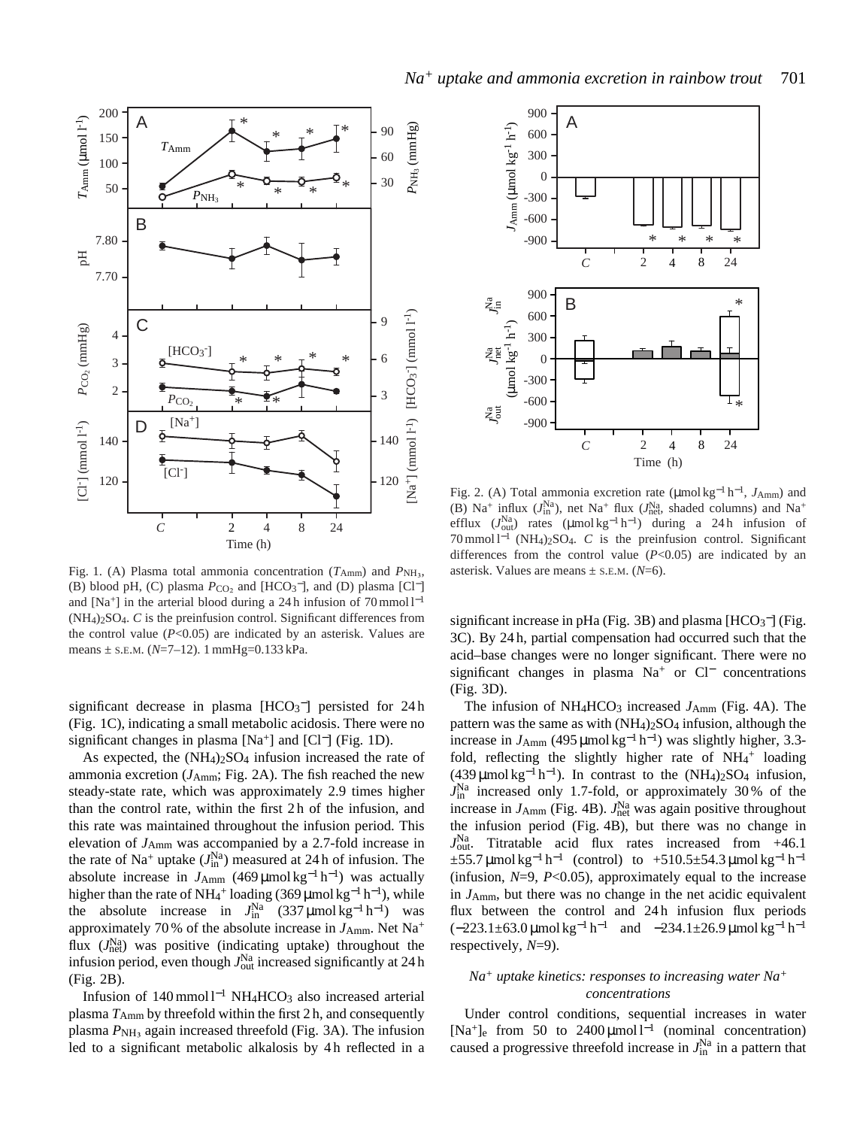

Fig. 1. (A) Plasma total ammonia concentration  $(T_{Amm})$  and  $P_{NH_3}$ , (B) blood pH, (C) plasma  $P_{CO_2}$  and [HCO<sub>3</sub><sup>-</sup>], and (D) plasma [Cl<sup>-</sup>] and [Na<sup>+</sup>] in the arterial blood during a 24 h infusion of 70 mmol  $l^{-1}$ (NH4)2SO4. *C* is the preinfusion control. Significant differences from the control value  $(P<0.05)$  are indicated by an asterisk. Values are means ± S.E.M. (*N*=7–12). 1 mmHg=0.133 kPa.

significant decrease in plasma  $[HCO<sub>3</sub>^-]$  persisted for 24h (Fig. 1C), indicating a small metabolic acidosis. There were no significant changes in plasma  $[Na^+]$  and  $[Cl^-]$  (Fig. 1D).

As expected, the  $(NH_4)_2SO_4$  infusion increased the rate of ammonia excretion  $(J_{Amm}; Fig. 2A)$ . The fish reached the new steady-state rate, which was approximately 2.9 times higher than the control rate, within the first 2 h of the infusion, and this rate was maintained throughout the infusion period. This elevation of *J*Amm was accompanied by a 2.7-fold increase in the rate of Na<sup>+</sup> uptake  $(J<sub>in</sub><sup>Na</sup>)$  measured at 24 h of infusion. The absolute increase in  $J_{Amm}$  (469 µmol kg<sup>-1</sup> h<sup>-1</sup>) was actually higher than the rate of NH<sub>4</sub><sup>+</sup> loading (369 µmol kg<sup>-1</sup> h<sup>-1</sup>), while the absolute increase in  $J_{\text{in}}^{\text{Na}}$  (337 µmol kg<sup>-1</sup> h<sup>-1</sup>) was approximately 70% of the absolute increase in *J*<sub>Amm</sub>. Net Na<sup>+</sup> flux ( $J_{\text{net}}^{Na}$ ) was positive (indicating uptake) throughout the infusion period, even though  $J_{\text{out}}^{\text{Na}}$  increased significantly at 24 h (Fig. 2B).

Infusion of 140 mmol l−<sup>1</sup> NH4HCO3 also increased arterial plasma *T*Amm by threefold within the first 2 h, and consequently plasma  $P_{\text{NH}_3}$  again increased threefold (Fig. 3A). The infusion led to a significant metabolic alkalosis by 4h reflected in a



Fig. 2. (A) Total ammonia excretion rate (µmol kg−<sup>1</sup> h<sup>−</sup>1, *J*Amm) and (B) Na<sup>+</sup> influx  $(J_{\text{in}}^{\text{Na}})$ , net Na<sup>+</sup> flux  $(J_{\text{net}}^{\text{Na}})$ , shaded columns) and Na<sup>+</sup> efflux  $(J_{\text{out}}^{\text{Na}})$  rates (µmol kg<sup>-1</sup> h<sup>-1</sup>) during a 24 h infusion of 70 mmol l<sup>−</sup>1 (NH4)2SO4. *C* is the preinfusion control. Significant differences from the control value  $(P<0.05)$  are indicated by an asterisk. Values are means ± S.E.M. (*N*=6).

significant increase in pHa (Fig. 3B) and plasma  $[HCO<sub>3</sub><sup>-</sup>]$  (Fig. 3C). By 24 h, partial compensation had occurred such that the acid–base changes were no longer significant. There were no significant changes in plasma Na<sup>+</sup> or Cl<sup>−</sup> concentrations (Fig. 3D).

The infusion of NH<sub>4</sub>HCO<sub>3</sub> increased *J*<sub>Amm</sub> (Fig. 4A). The pattern was the same as with  $(NH<sub>4</sub>)<sub>2</sub>SO<sub>4</sub>$  infusion, although the increase in  $J_{\text{Amm}}$  (495 µmol kg<sup>-1</sup> h<sup>-1</sup>) was slightly higher, 3.3fold, reflecting the slightly higher rate of  $NH_4^+$  loading (439 µmol kg<sup>-1</sup> h<sup>-1</sup>). In contrast to the  $(NH_4)_2SO_4$  infusion,  $J_{\text{in}}^{\text{Na}}$  increased only 1.7-fold, or approximately 30% of the increase in  $J_{Amm}$  (Fig. 4B).  $J_{net}^{Na}$  was again positive throughout the infusion period (Fig. 4B), but there was no change in  $J_{\text{out}}^{\text{Na}}$ . Titratable acid flux rates increased from  $+46.1$  $\pm$ 55.7 µmol kg<sup>-1</sup> h<sup>-1</sup> (control) to  $+$ 510.5 $\pm$ 54.3 µmol kg<sup>-1</sup> h<sup>-1</sup> (infusion, *N*=9, *P*<0.05), approximately equal to the increase in *J*Amm, but there was no change in the net acidic equivalent flux between the control and 24h infusion flux periods  $(-223.1\pm63.0 \,\text{\mu}$ mol kg<sup>-1</sup> h<sup>-1</sup> and  $-234.1\pm26.9 \,\text{\mu}$ mol kg<sup>-1</sup> h<sup>-1</sup> respectively, *N*=9).

# *Na+ uptake kinetics: responses to increasing water Na<sup>+</sup> concentrations*

Under control conditions, sequential increases in water [Na<sup>+</sup>]<sub>e</sub> from 50 to 2400 μmol l<sup>-1</sup> (nominal concentration) caused a progressive threefold increase in  $J_{\text{in}}^{\text{Na}}$  in a pattern that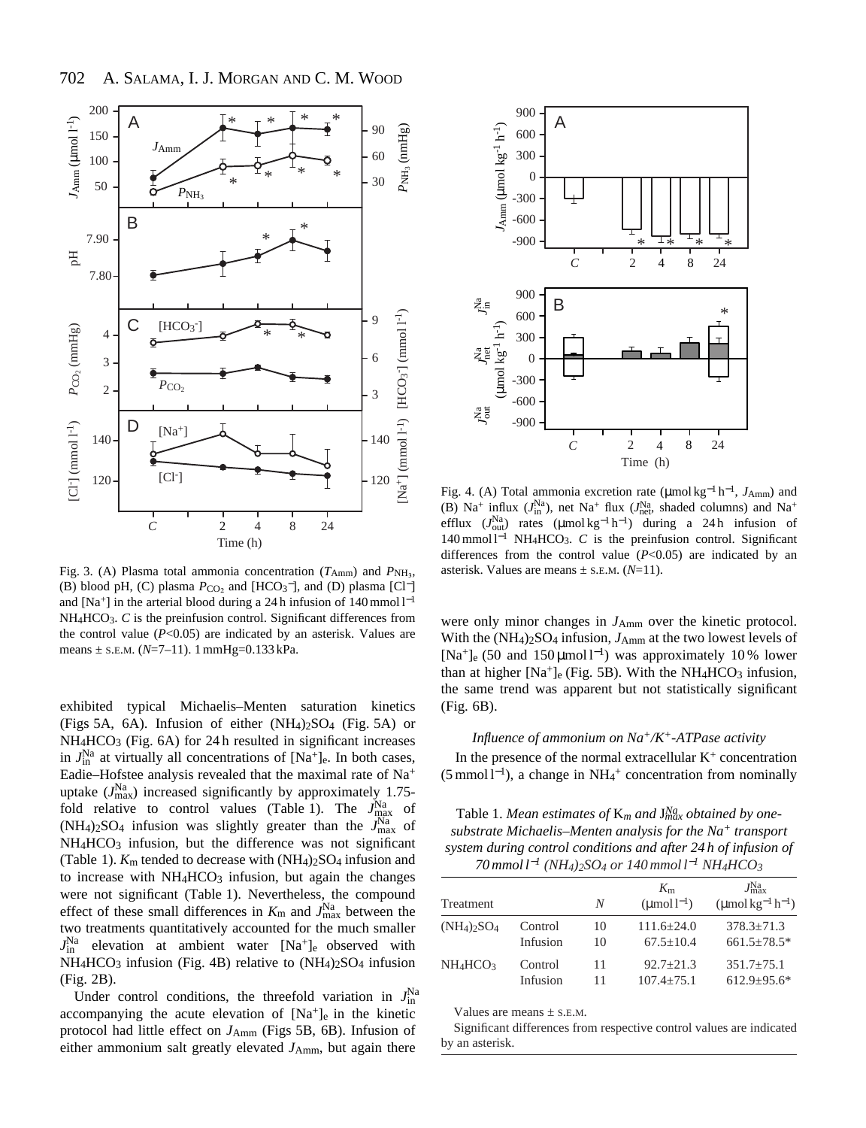

Fig. 3. (A) Plasma total ammonia concentration  $(T_{Amm})$  and  $P_{NH_3}$ , (B) blood pH, (C) plasma  $P_{CO_2}$  and [HCO<sub>3</sub><sup>-</sup>], and (D) plasma [Cl<sup>-</sup>] and [Na<sup>+</sup>] in the arterial blood during a 24 h infusion of  $140$  mmol l<sup>-1</sup> NH4HCO3. *C* is the preinfusion control. Significant differences from the control value  $(P<0.05)$  are indicated by an asterisk. Values are means ± S.E.M. (*N*=7–11). 1 mmHg=0.133 kPa.

exhibited typical Michaelis–Menten saturation kinetics (Figs 5A, 6A). Infusion of either  $(NH<sub>4</sub>)<sub>2</sub>SO<sub>4</sub>$  (Fig. 5A) or  $NH<sub>4</sub>HCO<sub>3</sub>$  (Fig. 6A) for 24 h resulted in significant increases in  $J_{\text{in}}^{\text{Na}}$  at virtually all concentrations of  $[\text{Na}^+]_e$ . In both cases, Eadie–Hofstee analysis revealed that the maximal rate of Na+ uptake  $(J_{\text{max}}^{\text{Na}})$  increased significantly by approximately 1.75fold relative to control values (Table 1). The  $J_{\text{max}}^{\text{Na}}$  of  $(NH_4)_2SO_4$  infusion was slightly greater than the  $J_{\text{max}}^{Na}$  of NH<sub>4</sub>HCO<sub>3</sub> infusion, but the difference was not significant (Table 1).  $K<sub>m</sub>$  tended to decrease with  $(NH<sub>4</sub>)<sub>2</sub>SO<sub>4</sub>$  infusion and to increase with  $NH<sub>4</sub>HCO<sub>3</sub>$  infusion, but again the changes were not significant (Table 1). Nevertheless, the compound effect of these small differences in  $K_{\rm m}$  and  $J_{\rm max}^{\rm Na}$  between the two treatments quantitatively accounted for the much smaller  $J_{\text{in}}^{\text{Na}}$  elevation at ambient water  $[Na^+]_e$  observed with  $NH_4HCO_3$  infusion (Fig. 4B) relative to  $(NH_4)_2SO_4$  infusion (Fig. 2B).

Under control conditions, the threefold variation in  $J_{\text{in}}^{\text{Na}}$ accompanying the acute elevation of  $[Na^+]_e$  in the kinetic protocol had little effect on *J*Amm (Figs 5B, 6B). Infusion of either ammonium salt greatly elevated  $J_{Amm}$ , but again there



Fig. 4. (A) Total ammonia excretion rate (µmol kg−<sup>1</sup> h<sup>−</sup>1, *J*Amm) and (B) Na<sup>+</sup> influx  $(J<sub>in</sub><sup>Na</sup>)$ , net Na<sup>+</sup> flux  $(J<sub>net</sub><sup>Na</sup>)$ , shaded columns) and Na<sup>+</sup> efflux  $(J_{\text{out}}^{\text{Na}})$  rates ( $\mu$ mol kg<sup>-1</sup> h<sup>-1</sup>) during a 24 h infusion of 140 mmol l−<sup>1</sup> NH4HCO3. *C* is the preinfusion control. Significant differences from the control value  $(P<0.05)$  are indicated by an asterisk. Values are means ± S.E.M. (*N*=11).

were only minor changes in  $J_{Amm}$  over the kinetic protocol. With the  $(NH_4)_2SO_4$  infusion,  $J_{Amm}$  at the two lowest levels of [Na<sup>+</sup>]<sub>e</sub> (50 and 150 µmol l<sup>-1</sup>) was approximately 10 % lower than at higher  $[Na^+]_e$  (Fig. 5B). With the NH<sub>4</sub>HCO<sub>3</sub> infusion, the same trend was apparent but not statistically significant (Fig. 6B).

# *Influence of ammonium on Na+/K+-ATPase activity*

In the presence of the normal extracellular  $K^+$  concentration (5 mmol l<sup>−</sup>1), a change in NH4 <sup>+</sup> concentration from nominally

Table 1. *Mean estimates of* K*<sup>m</sup> and* J*Na max obtained by onesubstrate Michaelis–Menten analysis for the Na<sup>+</sup> transport system during control conditions and after 24 h of infusion of 70 mmol l*−*<sup>1</sup> (NH4)2SO4 or 140 mmol l*−*<sup>1</sup> NH4HCO3*

| Treatment                             |                     | N        | $K_{\rm m}$<br>$(\text{mmol } l^{-1})$ | $J_{\rm max}^{\rm Na}$<br>$(\mu$ mol kg <sup>-1</sup> h <sup>-1</sup> ) |
|---------------------------------------|---------------------|----------|----------------------------------------|-------------------------------------------------------------------------|
| $(NH_4)$ <sub>2</sub> SO <sub>4</sub> | Control<br>Infusion | 10<br>10 | $111.6 \pm 24.0$<br>$67.5 + 10.4$      | $378.3 + 71.3$<br>$661.5 \pm 78.5*$                                     |
| $NH_4HCO3$                            | Control<br>Infusion | 11       | $92.7 + 21.3$<br>$107.4 + 75.1$        | $351.7 \pm 75.1$<br>$612.9 + 95.6*$                                     |

Values are means  $\pm$  S.E.M.

Significant differences from respective control values are indicated by an asterisk.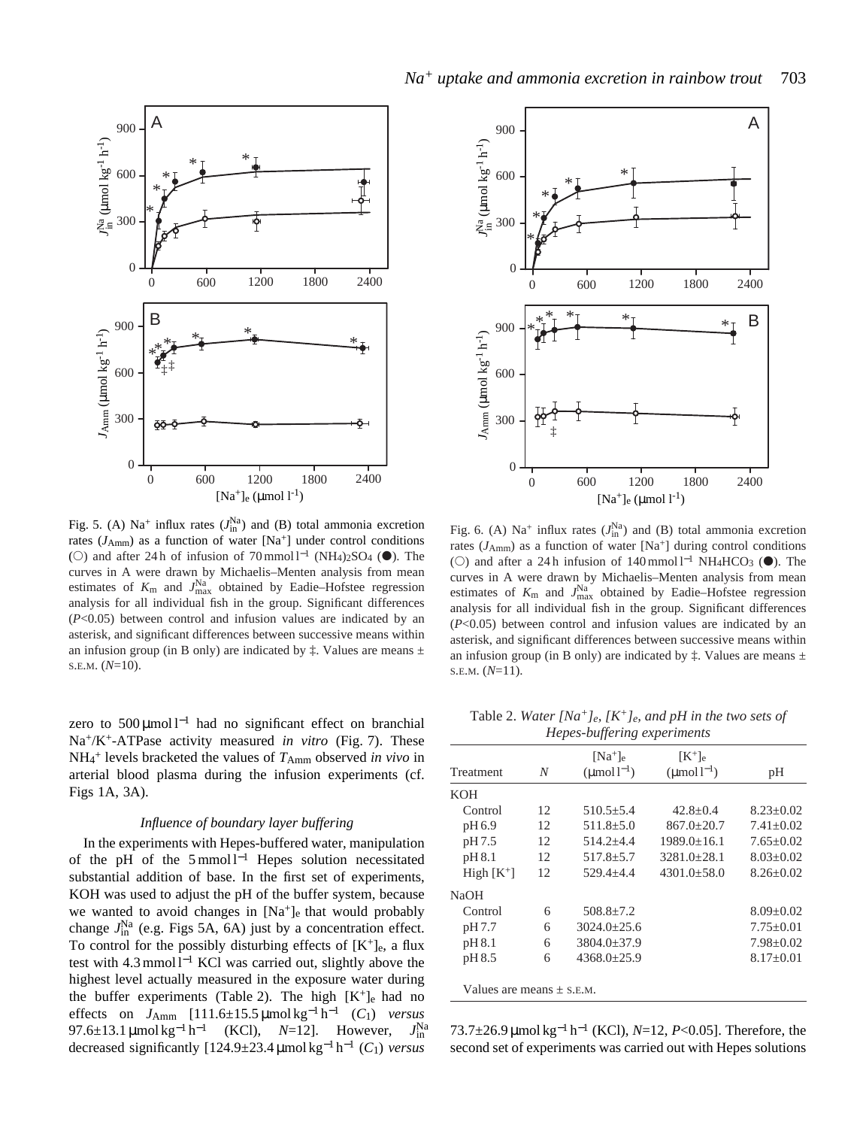

Fig. 5. (A)  $Na^+$  influx rates  $(J_{in}^{Na})$  and (B) total ammonia excretion rates  $(J<sub>Amm</sub>)$  as a function of water  $[Na^+]$  under control conditions (○) and after 24 h of infusion of 70 mmol  $l^{-1}$  (NH<sub>4</sub>)<sub>2</sub>SO<sub>4</sub> (●). The curves in A were drawn by Michaelis–Menten analysis from mean estimates of  $K_{\text{m}}$  and  $J_{\text{max}}^{\text{Na}}$  obtained by Eadie–Hofstee regression analysis for all individual fish in the group. Significant differences (*P*<0.05) between control and infusion values are indicated by an asterisk, and significant differences between successive means within an infusion group (in B only) are indicated by  $\ddagger$ . Values are means  $\pm$ S.E.M. (*N*=10).

zero to 500 µmol l−<sup>1</sup> had no significant effect on branchial Na+/K+-ATPase activity measured *in vitro* (Fig. 7). These NH4 <sup>+</sup> levels bracketed the values of *T*Amm observed *in vivo* in arterial blood plasma during the infusion experiments (cf. Figs 1A, 3A).

# *Influence of boundary layer buffering*

In the experiments with Hepes-buffered water, manipulation of the pH of the 5 mmol l−<sup>1</sup> Hepes solution necessitated substantial addition of base. In the first set of experiments, KOH was used to adjust the pH of the buffer system, because we wanted to avoid changes in  $[Na^+]_e$  that would probably change  $J_{\text{in}}^{\text{Na}}$  (e.g. Figs 5A, 6A) just by a concentration effect. To control for the possibly disturbing effects of  $[K^+]_e$ , a flux test with 4.3 mmol l−<sup>1</sup> KCl was carried out, slightly above the highest level actually measured in the exposure water during the buffer experiments (Table 2). The high  $[K^+]_e$  had no effects on *J*<sub>Amm</sub> [111.6±15.5 µmol kg<sup>-1</sup> h<sup>-1</sup> (*C*<sub>1</sub>) *versus* 97.6±13.1 μmol kg<sup>-1</sup> h<sup>-1</sup> (KCl), *N*=12]. However,  $J_{\text{in}}^{\text{Na}}$ decreased significantly [124.9±23.4 µmol kg−<sup>1</sup> h−<sup>1</sup> (*C*1) *versus*



Fig. 6. (A) Na<sup>+</sup> influx rates  $(J_{\text{in}}^{\text{Na}})$  and (B) total ammonia excretion rates  $(J<sub>Amm</sub>)$  as a function of water [Na<sup>+</sup>] during control conditions (○) and after a 24 h infusion of  $140 \text{ mmol } l^{-1}$  NH<sub>4</sub>HCO<sub>3</sub> (●). The curves in A were drawn by Michaelis–Menten analysis from mean estimates of  $K_{\text{m}}$  and  $J_{\text{max}}^{\text{Na}}$  obtained by Eadie–Hofstee regression analysis for all individual fish in the group. Significant differences (*P*<0.05) between control and infusion values are indicated by an asterisk, and significant differences between successive means within an infusion group (in B only) are indicated by  $\ddagger$ . Values are means  $\pm$ S.E.M. (*N*=11).

Table 2. *Water [Na+]e, [K+]e, and pH in the two sets of Hepes-buffering experiments*

|                               |    | $[Na^+]_e$             | $[K^+]e$               |                 |
|-------------------------------|----|------------------------|------------------------|-----------------|
| Treatment                     | N  | $(\text{umol }l^{-1})$ | $(\text{umol }l^{-1})$ | pH              |
| <b>KOH</b>                    |    |                        |                        |                 |
| Control                       | 12 | $510.5 + 5.4$          | $42.8 + 0.4$           | $8.23 + 0.02$   |
| pH 6.9                        | 12 | $511.8 \pm 5.0$        | $867.0 \pm 20.7$       | $7.41 + 0.02$   |
| pH 7.5                        | 12 | $514.2 + 4.4$          | $1989.0+16.1$          | $7.65 \pm 0.02$ |
| pH 8.1                        | 12 | $517.8 + 5.7$          | $3281.0 + 28.1$        | $8.03 \pm 0.02$ |
| High $[K^+]$                  | 12 | $529.4 + 4.4$          | $4301.0 + 58.0$        | $8.26 + 0.02$   |
| <b>NaOH</b>                   |    |                        |                        |                 |
| Control                       | 6  | $508.8 \pm 7.2$        |                        | $8.09 \pm 0.02$ |
| pH 7.7                        | 6  | $3024.0 \pm 25.6$      |                        | $7.75 \pm 0.01$ |
| pH 8.1                        | 6  | $3804.0 \pm 37.9$      |                        | $7.98 \pm 0.02$ |
| pH 8.5                        | 6  | $4368.0+25.9$          |                        | $8.17+0.01$     |
| Values are means $\pm$ s.e.m. |    |                        |                        |                 |

73.7±26.9 µmol kg−<sup>1</sup> h−<sup>1</sup> (KCl), *N*=12, *P*<0.05]. Therefore, the second set of experiments was carried out with Hepes solutions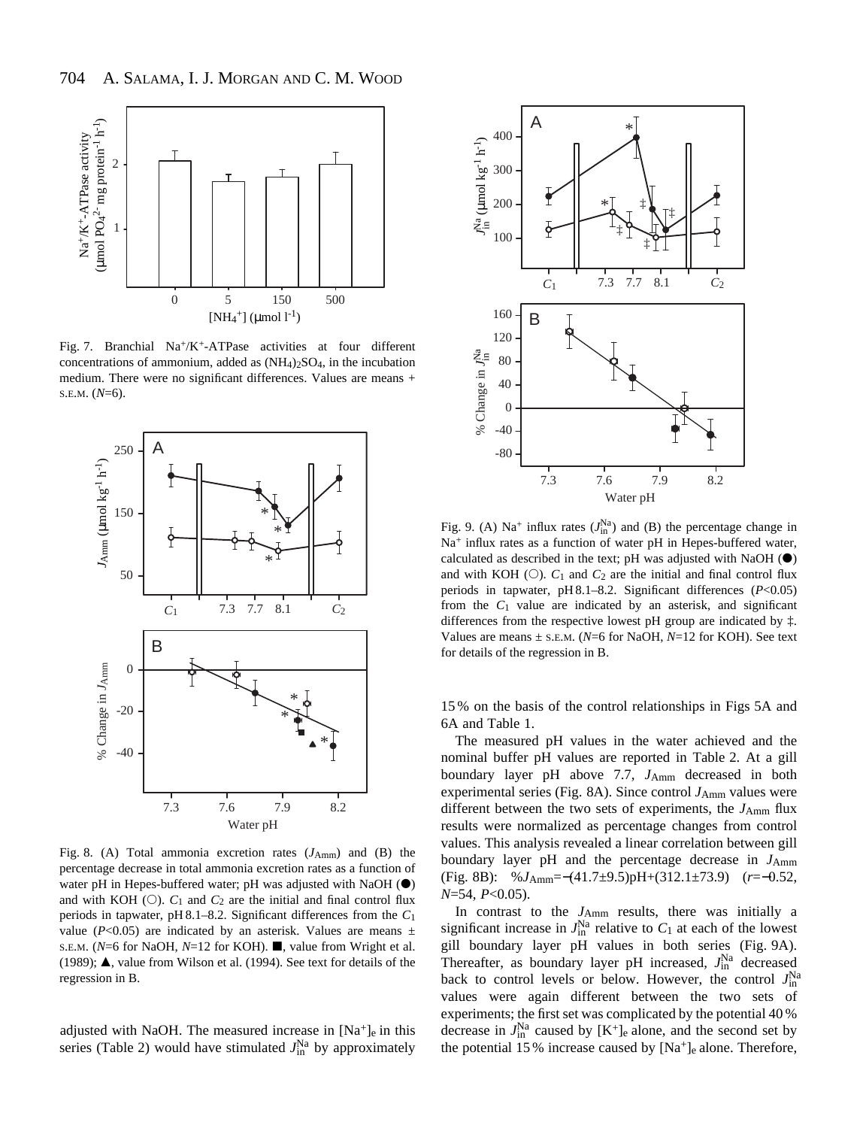

Fig. 7. Branchial Na+/K+-ATPase activities at four different concentrations of ammonium, added as  $(NH_4)_2SO_4$ , in the incubation medium. There were no significant differences. Values are means + S.E.M. (*N*=6).



Fig. 8. (A) Total ammonia excretion rates ( $J_{Amm}$ ) and (B) the percentage decrease in total ammonia excretion rates as a function of water pH in Hepes-buffered water; pH was adjusted with NaOH  $\circ$ and with KOH  $(O)$ .  $C_1$  and  $C_2$  are the initial and final control flux periods in tapwater, pH 8.1–8.2. Significant differences from the *C*1 value ( $P<0.05$ ) are indicated by an asterisk. Values are means  $\pm$ S.E.M. (*N*=6 for NaOH, *N*=12 for KOH). ■, value from Wright et al. (1989);  $\triangle$ , value from Wilson et al. (1994). See text for details of the regression in B.

adjusted with NaOH. The measured increase in  $[Na^+]_e$  in this series (Table 2) would have stimulated  $J_{\text{in}}^{\text{Na}}$  by approximately



Fig. 9. (A) Na<sup>+</sup> influx rates  $(J_{\text{in}}^{Na})$  and (B) the percentage change in Na<sup>+</sup> influx rates as a function of water pH in Hepes-buffered water, calculated as described in the text; pH was adjusted with NaOH  $\circledbullet$ ) and with KOH  $(O)$ .  $C_1$  and  $C_2$  are the initial and final control flux periods in tapwater, pH 8.1–8.2. Significant differences (*P*<0.05) from the *C*1 value are indicated by an asterisk, and significant differences from the respective lowest pH group are indicated by ‡. Values are means ± S.E.M. (*N*=6 for NaOH, *N*=12 for KOH). See text for details of the regression in B.

15 % on the basis of the control relationships in Figs 5A and 6A and Table 1.

The measured pH values in the water achieved and the nominal buffer pH values are reported in Table 2. At a gill boundary layer pH above 7.7, *J*Amm decreased in both experimental series (Fig. 8A). Since control *J*<sub>Amm</sub> values were different between the two sets of experiments, the *J*Amm flux results were normalized as percentage changes from control values. This analysis revealed a linear correlation between gill boundary layer pH and the percentage decrease in  $J_{Amm}$ (Fig. 8B): %*J*Amm=−(41.7±9.5)pH+(312.1±73.9) (*r*=−0.52, *N*=54, *P*<0.05).

In contrast to the *J*Amm results, there was initially a significant increase in  $J_{\text{in}}^{\text{Na}}$  relative to  $C_1$  at each of the lowest gill boundary layer pH values in both series (Fig. 9A). Thereafter, as boundary layer pH increased,  $J_{\text{in}}^{\text{Na}}$  decreased back to control levels or below. However, the control  $J_{\text{in}}^{\text{Na}}$ values were again different between the two sets of experiments; the first set was complicated by the potential 40 % decrease in  $J_{\text{in}}^{\text{Na}}$  caused by  $[K^+]_e$  alone, and the second set by the potential 15 % increase caused by  $[Na^+]_e$  alone. Therefore,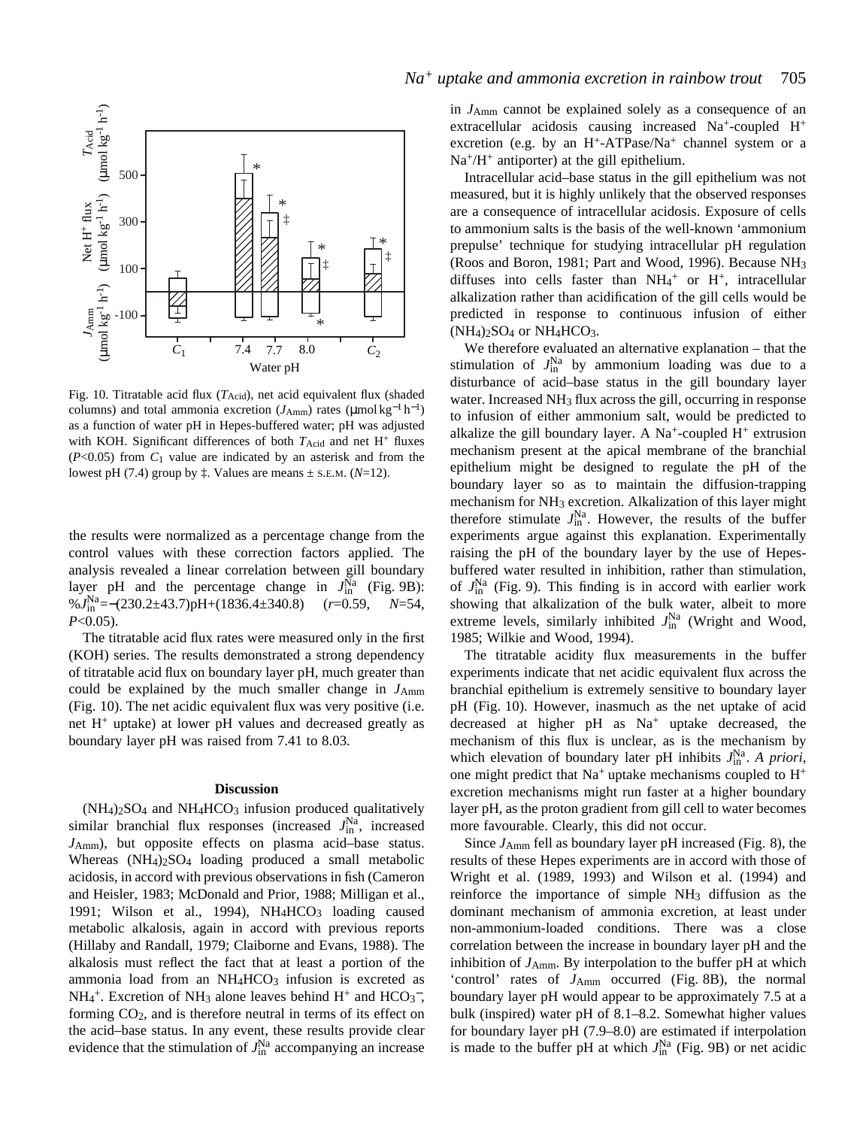

Fig. 10. Titratable acid flux  $(T_{\text{Acid}})$ , net acid equivalent flux (shaded columns) and total ammonia excretion  $(J_{Amm})$  rates (µmol kg<sup>-1</sup> h<sup>-1</sup>) as a function of water pH in Hepes-buffered water; pH was adjusted with KOH. Significant differences of both  $T_{\text{Acid}}$  and net  $H^+$  fluxes (*P*<0.05) from *C*1 value are indicated by an asterisk and from the lowest pH (7.4) group by  $\ddagger$ . Values are means  $\pm$  s.e.m. (*N*=12).

the results were normalized as a percentage change from the control values with these correction factors applied. The analysis revealed a linear correlation between gill boundary layer pH and the percentage change in  $J_{\text{in}}^{\text{Na}}$  (Fig. 9B): %*J*Na in =−(230.2±43.7)pH+(1836.4±340.8) (*r*=0.59, *N*=54, *P*<0.05).

The titratable acid flux rates were measured only in the first (KOH) series. The results demonstrated a strong dependency of titratable acid flux on boundary layer pH, much greater than could be explained by the much smaller change in  $J_{Amm}$ (Fig. 10). The net acidic equivalent flux was very positive (i.e. net H+ uptake) at lower pH values and decreased greatly as boundary layer pH was raised from 7.41 to 8.03.

#### **Discussion**

(NH4)2SO4 and NH4HCO3 infusion produced qualitatively similar branchial flux responses (increased  $J_{\text{in}}^{\text{Na}}$ , increased *J*Amm), but opposite effects on plasma acid–base status. Whereas  $(NH_4)_2SO_4$  loading produced a small metabolic acidosis, in accord with previous observations in fish (Cameron and Heisler, 1983; McDonald and Prior, 1988; Milligan et al., 1991; Wilson et al., 1994), NH<sub>4</sub>HCO<sub>3</sub> loading caused metabolic alkalosis, again in accord with previous reports (Hillaby and Randall, 1979; Claiborne and Evans, 1988). The alkalosis must reflect the fact that at least a portion of the ammonia load from an  $NH<sub>4</sub>HCO<sub>3</sub>$  infusion is excreted as  $NH_4$ <sup>+</sup>. Excretion of NH<sub>3</sub> alone leaves behind H<sup>+</sup> and HCO<sub>3</sub><sup>-</sup>, forming  $CO<sub>2</sub>$ , and is therefore neutral in terms of its effect on the acid–base status. In any event, these results provide clear evidence that the stimulation of  $J_{\text{in}}^{\text{Na}}$  accompanying an increase

in *J*Amm cannot be explained solely as a consequence of an extracellular acidosis causing increased Na+-coupled H+ excretion (e.g. by an  $H^+$ -ATPase/Na<sup>+</sup> channel system or a  $Na<sup>+</sup>/H<sup>+</sup>$  antiporter) at the gill epithelium.

Intracellular acid–base status in the gill epithelium was not measured, but it is highly unlikely that the observed responses are a consequence of intracellular acidosis. Exposure of cells to ammonium salts is the basis of the well-known 'ammonium prepulse' technique for studying intracellular pH regulation (Roos and Boron, 1981; Part and Wood, 1996). Because NH3 diffuses into cells faster than  $NH_4^+$  or  $H^+$ , intracellular alkalization rather than acidification of the gill cells would be predicted in response to continuous infusion of either  $(NH_4)_2SO_4$  or  $NH_4HCO_3$ .

We therefore evaluated an alternative explanation – that the stimulation of  $J_{\text{in}}^{\text{Na}}$  by ammonium loading was due to a disturbance of acid–base status in the gill boundary layer water. Increased NH<sub>3</sub> flux across the gill, occurring in response to infusion of either ammonium salt, would be predicted to alkalize the gill boundary layer. A Na<sup>+</sup>-coupled  $H^+$  extrusion mechanism present at the apical membrane of the branchial epithelium might be designed to regulate the pH of the boundary layer so as to maintain the diffusion-trapping mechanism for NH3 excretion. Alkalization of this layer might therefore stimulate  $J_{\text{in}}^{\text{Na}}$ . However, the results of the buffer experiments argue against this explanation. Experimentally raising the pH of the boundary layer by the use of Hepesbuffered water resulted in inhibition, rather than stimulation, of  $J_{\text{in}}^{\text{Na}}$  (Fig. 9). This finding is in accord with earlier work showing that alkalization of the bulk water, albeit to more extreme levels, similarly inhibited  $J_{\text{in}}^{\text{Na}}$  (Wright and Wood, 1985; Wilkie and Wood, 1994).

The titratable acidity flux measurements in the buffer experiments indicate that net acidic equivalent flux across the branchial epithelium is extremely sensitive to boundary layer pH (Fig. 10). However, inasmuch as the net uptake of acid decreased at higher  $pH$  as  $Na<sup>+</sup>$  uptake decreased, the mechanism of this flux is unclear, as is the mechanism by which elevation of boundary later pH inhibits  $J_{\text{in}}^{\text{Na}}$ . *A priori*, one might predict that  $Na^+$  uptake mechanisms coupled to  $H^+$ excretion mechanisms might run faster at a higher boundary layer pH, as the proton gradient from gill cell to water becomes more favourable. Clearly, this did not occur.

Since *J*Amm fell as boundary layer pH increased (Fig. 8), the results of these Hepes experiments are in accord with those of Wright et al. (1989, 1993) and Wilson et al. (1994) and reinforce the importance of simple NH3 diffusion as the dominant mechanism of ammonia excretion, at least under non-ammonium-loaded conditions. There was a close correlation between the increase in boundary layer pH and the inhibition of *J*Amm. By interpolation to the buffer pH at which 'control' rates of *J*Amm occurred (Fig. 8B), the normal boundary layer pH would appear to be approximately 7.5 at a bulk (inspired) water pH of 8.1–8.2. Somewhat higher values for boundary layer pH (7.9–8.0) are estimated if interpolation is made to the buffer pH at which  $J_{\text{in}}^{\text{Na}}$  (Fig. 9B) or net acidic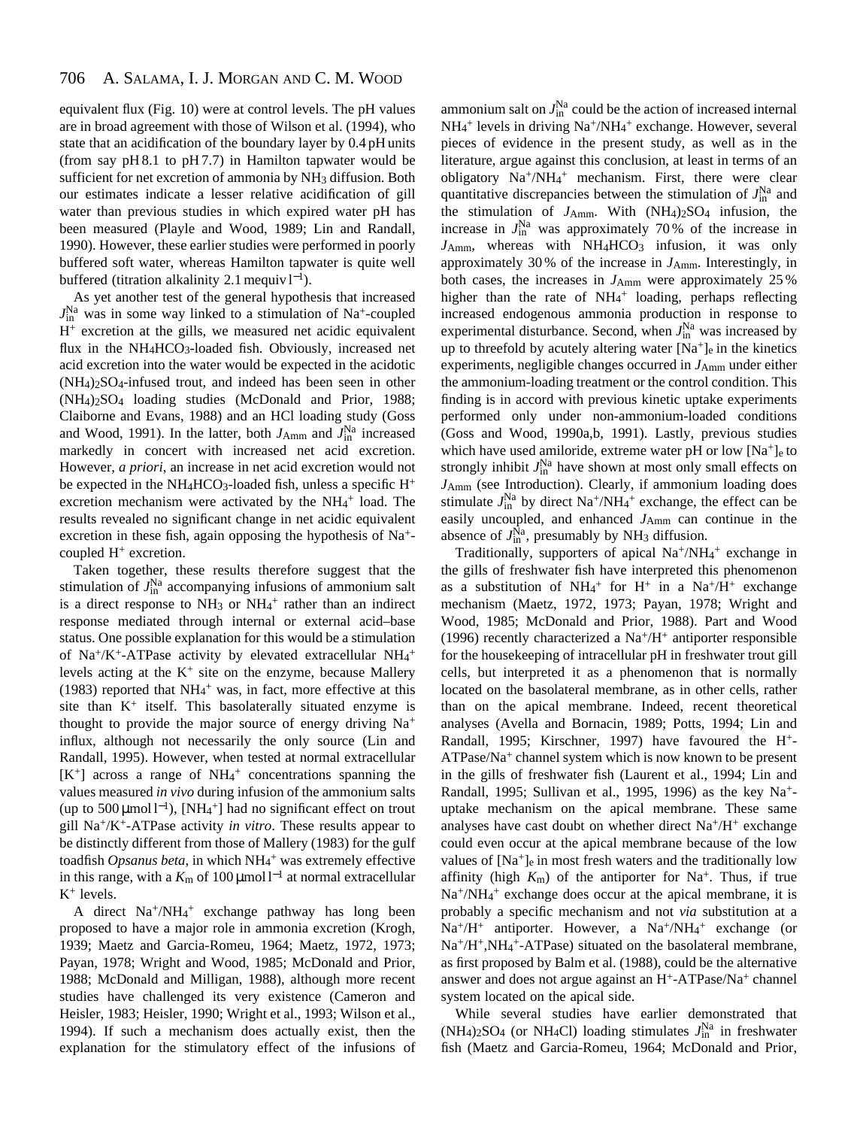equivalent flux (Fig. 10) were at control levels. The pH values are in broad agreement with those of Wilson et al. (1994), who state that an acidification of the boundary layer by 0.4 pH units (from say  $pH 8.1$  to  $pH 7.7$ ) in Hamilton tapwater would be sufficient for net excretion of ammonia by NH<sub>3</sub> diffusion. Both our estimates indicate a lesser relative acidification of gill water than previous studies in which expired water pH has been measured (Playle and Wood, 1989; Lin and Randall, 1990). However, these earlier studies were performed in poorly buffered soft water, whereas Hamilton tapwater is quite well buffered (titration alkalinity 2.1 mequiv  $l^{-1}$ ).

As yet another test of the general hypothesis that increased  $J_{\text{in}}^{\text{Na}}$  was in some way linked to a stimulation of Na<sup>+</sup>-coupled  $H<sup>+</sup>$  excretion at the gills, we measured net acidic equivalent flux in the NH4HCO3-loaded fish. Obviously, increased net acid excretion into the water would be expected in the acidotic (NH4)2SO4-infused trout, and indeed has been seen in other (NH4)2SO4 loading studies (McDonald and Prior, 1988; Claiborne and Evans, 1988) and an HCl loading study (Goss and Wood, 1991). In the latter, both  $J_{Amm}$  and  $J_{in}^{Na}$  increased markedly in concert with increased net acid excretion. However, *a priori*, an increase in net acid excretion would not be expected in the NH<sub>4</sub>HCO<sub>3</sub>-loaded fish, unless a specific  $H^+$ excretion mechanism were activated by the NH<sub>4</sub>+ load. The results revealed no significant change in net acidic equivalent excretion in these fish, again opposing the hypothesis of Na+ coupled H<sup>+</sup> excretion.

Taken together, these results therefore suggest that the stimulation of  $J_{\text{in}}^{\text{Na}}$  accompanying infusions of ammonium salt is a direct response to  $NH<sub>3</sub>$  or  $NH<sub>4</sub><sup>+</sup>$  rather than an indirect response mediated through internal or external acid–base status. One possible explanation for this would be a stimulation of Na<sup>+</sup>/K<sup>+</sup>-ATPase activity by elevated extracellular NH<sub>4</sub><sup>+</sup> levels acting at the  $K^+$  site on the enzyme, because Mallery (1983) reported that  $NH_4$ <sup>+</sup> was, in fact, more effective at this site than  $K^+$  itself. This basolaterally situated enzyme is thought to provide the major source of energy driving Na<sup>+</sup> influx, although not necessarily the only source (Lin and Randall, 1995). However, when tested at normal extracellular [K+] across a range of NH4 <sup>+</sup> concentrations spanning the values measured *in vivo* during infusion of the ammonium salts (up to  $500 \mu$ mol l<sup>-1</sup>), [NH<sub>4</sub><sup>+</sup>] had no significant effect on trout gill Na+/K+-ATPase activity *in vitro*. These results appear to be distinctly different from those of Mallery (1983) for the gulf toadfish Opsanus beta, in which NH<sub>4</sub>+ was extremely effective in this range, with a  $K<sub>m</sub>$  of 100 μmol l<sup>−1</sup> at normal extracellular  $K^+$  levels.

A direct Na+/NH4 <sup>+</sup> exchange pathway has long been proposed to have a major role in ammonia excretion (Krogh, 1939; Maetz and Garcia-Romeu, 1964; Maetz, 1972, 1973; Payan, 1978; Wright and Wood, 1985; McDonald and Prior, 1988; McDonald and Milligan, 1988), although more recent studies have challenged its very existence (Cameron and Heisler, 1983; Heisler, 1990; Wright et al., 1993; Wilson et al., 1994). If such a mechanism does actually exist, then the explanation for the stimulatory effect of the infusions of

ammonium salt on  $J_\text{in}^\text{Na}$  could be the action of increased internal NH<sub>4</sub><sup>+</sup> levels in driving Na<sup>+</sup>/NH<sub>4</sub><sup>+</sup> exchange. However, several pieces of evidence in the present study, as well as in the literature, argue against this conclusion, at least in terms of an obligatory Na+/NH4 <sup>+</sup> mechanism. First, there were clear quantitative discrepancies between the stimulation of  $J_{\text{in}}^{\text{Na}}$  and the stimulation of  $J_{Amm}$ . With  $(NH_4)_2SO_4$  infusion, the increase in  $J_{\text{in}}^{\text{Na}}$  was approximately 70% of the increase in J<sub>Amm</sub>, whereas with NH<sub>4</sub>HCO<sub>3</sub> infusion, it was only approximately 30 % of the increase in *J*Amm. Interestingly, in both cases, the increases in  $J_{Amm}$  were approximately 25% higher than the rate of NH<sub>4</sub><sup>+</sup> loading, perhaps reflecting increased endogenous ammonia production in response to experimental disturbance. Second, when  $J_{\text{in}}^{\text{Na}}$  was increased by up to threefold by acutely altering water  $[Na^+]_e$  in the kinetics experiments, negligible changes occurred in *J*Amm under either the ammonium-loading treatment or the control condition. This finding is in accord with previous kinetic uptake experiments performed only under non-ammonium-loaded conditions (Goss and Wood, 1990a,b, 1991). Lastly, previous studies which have used amiloride, extreme water pH or low  $[Na^+]_e$  to strongly inhibit  $J_{\text{in}}^{\text{Na}}$  have shown at most only small effects on *J*Amm (see Introduction). Clearly, if ammonium loading does stimulate  $J_{\text{in}}^{\text{Na}}$  by direct Na<sup>+</sup>/NH<sub>4</sub><sup>+</sup> exchange, the effect can be easily uncoupled, and enhanced  $J_{Amm}$  can continue in the absence of  $J_{\text{in}}^{\text{Na}}$ , presumably by NH<sub>3</sub> diffusion.

Traditionally, supporters of apical Na<sup>+</sup>/NH<sub>4</sub><sup>+</sup> exchange in the gills of freshwater fish have interpreted this phenomenon as a substitution of NH<sub>4</sub><sup>+</sup> for H<sup>+</sup> in a Na<sup>+</sup>/H<sup>+</sup> exchange mechanism (Maetz, 1972, 1973; Payan, 1978; Wright and Wood, 1985; McDonald and Prior, 1988). Part and Wood (1996) recently characterized a  $Na^{+}/H^{+}$  antiporter responsible for the housekeeping of intracellular pH in freshwater trout gill cells, but interpreted it as a phenomenon that is normally located on the basolateral membrane, as in other cells, rather than on the apical membrane. Indeed, recent theoretical analyses (Avella and Bornacin, 1989; Potts, 1994; Lin and Randall, 1995; Kirschner, 1997) have favoured the H+- ATPase/Na+ channel system which is now known to be present in the gills of freshwater fish (Laurent et al., 1994; Lin and Randall, 1995; Sullivan et al., 1995, 1996) as the key Na+ uptake mechanism on the apical membrane. These same analyses have cast doubt on whether direct  $Na^+/H^+$  exchange could even occur at the apical membrane because of the low values of  $[Na^+]_e$  in most fresh waters and the traditionally low affinity (high  $K_m$ ) of the antiporter for Na<sup>+</sup>. Thus, if true Na<sup>+</sup>/NH<sub>4</sub><sup>+</sup> exchange does occur at the apical membrane, it is probably a specific mechanism and not *via* substitution at a Na<sup>+</sup>/H<sup>+</sup> antiporter. However, a Na<sup>+</sup>/NH<sub>4</sub><sup>+</sup> exchange (or Na+/H+,NH4 +-ATPase) situated on the basolateral membrane, as first proposed by Balm et al. (1988), could be the alternative answer and does not argue against an H+-ATPase/Na+ channel system located on the apical side.

While several studies have earlier demonstrated that  $(NH_4)$ <sub>2</sub>SO<sub>4</sub> (or NH<sub>4</sub>Cl) loading stimulates  $J_{\text{in}}^{\text{Na}}$  in freshwater fish (Maetz and Garcia-Romeu, 1964; McDonald and Prior,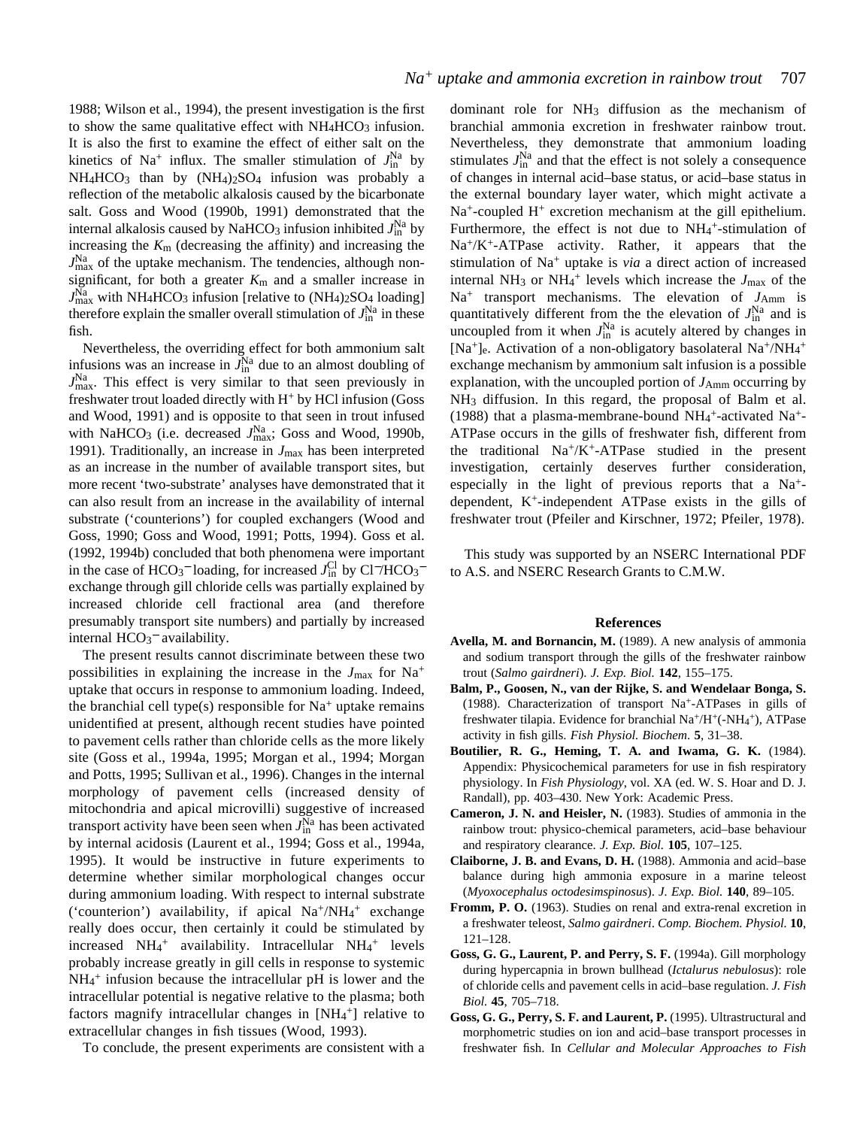1988; Wilson et al., 1994), the present investigation is the first to show the same qualitative effect with  $NH<sub>4</sub>HCO<sub>3</sub>$  infusion. It is also the first to examine the effect of either salt on the kinetics of Na<sup>+</sup> influx. The smaller stimulation of  $J_{\text{in}}^{\text{Na}}$  by NH<sub>4</sub>HCO<sub>3</sub> than by (NH<sub>4</sub>)<sub>2</sub>SO<sub>4</sub> infusion was probably a reflection of the metabolic alkalosis caused by the bicarbonate salt. Goss and Wood (1990b, 1991) demonstrated that the internal alkalosis caused by NaHCO<sub>3</sub> infusion inhibited  $J_{\text{in}}^{\text{Na}}$  by increasing the *K*m (decreasing the affinity) and increasing the  $J<sub>max</sub><sup>Na</sup>$  of the uptake mechanism. The tendencies, although nonsignificant, for both a greater  $K<sub>m</sub>$  and a smaller increase in  $J_{\text{max}}^{\text{Na}}$  with NH<sub>4</sub>HCO<sub>3</sub> infusion [relative to (NH<sub>4</sub>)<sub>2</sub>SO<sub>4</sub> loading] therefore explain the smaller overall stimulation of  $J_{\text{in}}^{\text{Na}}$  in these fish.

Nevertheless, the overriding effect for both ammonium salt infusions was an increase in  $J_{\text{in}}^{\text{Na}}$  due to an almost doubling of  $J<sub>max</sub><sup>Na</sup>$ . This effect is very similar to that seen previously in freshwater trout loaded directly with H<sup>+</sup> by HCl infusion (Goss and Wood, 1991) and is opposite to that seen in trout infused with NaHCO<sub>3</sub> (i.e. decreased  $J_{\text{max}}^{\text{Na}}$ ; Goss and Wood, 1990b, 1991). Traditionally, an increase in *J*max has been interpreted as an increase in the number of available transport sites, but more recent 'two-substrate' analyses have demonstrated that it can also result from an increase in the availability of internal substrate ('counterions') for coupled exchangers (Wood and Goss, 1990; Goss and Wood, 1991; Potts, 1994). Goss et al. (1992, 1994b) concluded that both phenomena were important in the case of HCO<sub>3</sub><sup>-</sup> loading, for increased  $J_{\text{in}}^{\text{Cl}}$  by Cl<sup>-</sup>/HCO<sub>3</sub><sup>-</sup> exchange through gill chloride cells was partially explained by increased chloride cell fractional area (and therefore presumably transport site numbers) and partially by increased internal HCO<sub>3</sub><sup>-</sup> availability.

The present results cannot discriminate between these two possibilities in explaining the increase in the  $J_{\text{max}}$  for Na<sup>+</sup> uptake that occurs in response to ammonium loading. Indeed, the branchial cell type(s) responsible for  $Na<sup>+</sup>$  uptake remains unidentified at present, although recent studies have pointed to pavement cells rather than chloride cells as the more likely site (Goss et al., 1994a, 1995; Morgan et al., 1994; Morgan and Potts, 1995; Sullivan et al., 1996). Changes in the internal morphology of pavement cells (increased density of mitochondria and apical microvilli) suggestive of increased transport activity have been seen when  $J_{\text{in}}^{\text{Na}}$  has been activated by internal acidosis (Laurent et al., 1994; Goss et al., 1994a, 1995). It would be instructive in future experiments to determine whether similar morphological changes occur during ammonium loading. With respect to internal substrate ('counterion') availability, if apical Na+/NH<sub>4</sub>+ exchange really does occur, then certainly it could be stimulated by increased NH<sub>4</sub><sup>+</sup> availability. Intracellular NH<sub>4</sub><sup>+</sup> levels probably increase greatly in gill cells in response to systemic NH4 <sup>+</sup> infusion because the intracellular pH is lower and the intracellular potential is negative relative to the plasma; both factors magnify intracellular changes in [NH<sub>4</sub>+] relative to extracellular changes in fish tissues (Wood, 1993).

To conclude, the present experiments are consistent with a

dominant role for  $NH_3$  diffusion as the mechanism of branchial ammonia excretion in freshwater rainbow trout. Nevertheless, they demonstrate that ammonium loading stimulates  $J_{\text{in}}^{\text{Na}}$  and that the effect is not solely a consequence of changes in internal acid–base status, or acid–base status in the external boundary layer water, which might activate a Na<sup>+</sup>-coupled H<sup>+</sup> excretion mechanism at the gill epithelium. Furthermore, the effect is not due to  $NH_4^+$ -stimulation of Na+/K+-ATPase activity. Rather, it appears that the stimulation of Na<sup>+</sup> uptake is *via* a direct action of increased internal NH<sub>3</sub> or NH<sub>4</sub><sup>+</sup> levels which increase the  $J_{\text{max}}$  of the  $Na<sup>+</sup>$  transport mechanisms. The elevation of  $J<sub>Amm</sub>$  is quantitatively different from the the elevation of  $J_{\text{in}}^{\text{Na}}$  and is uncoupled from it when  $J_{\text{in}}^{\text{Na}}$  is acutely altered by changes in [Na<sup>+</sup>]<sub>e</sub>. Activation of a non-obligatory basolateral Na<sup>+</sup>/NH<sub>4</sub><sup>+</sup> exchange mechanism by ammonium salt infusion is a possible explanation, with the uncoupled portion of  $J_{Amm}$  occurring by NH3 diffusion. In this regard, the proposal of Balm et al. (1988) that a plasma-membrane-bound  $NH_4^+$ -activated Na<sup>+</sup>-ATPase occurs in the gills of freshwater fish, different from the traditional  $Na^{+}/K^{+}$ -ATPase studied in the present investigation, certainly deserves further consideration, especially in the light of previous reports that a  $Na<sup>+</sup>$ dependent, K+-independent ATPase exists in the gills of freshwater trout (Pfeiler and Kirschner, 1972; Pfeiler, 1978).

This study was supported by an NSERC International PDF to A.S. and NSERC Research Grants to C.M.W.

# **References**

- **Avella, M. and Bornancin, M.** (1989). A new analysis of ammonia and sodium transport through the gills of the freshwater rainbow trout (*Salmo gairdneri*). *J. Exp. Biol.* **142**, 155–175.
- **Balm, P., Goosen, N., van der Rijke, S. and Wendelaar Bonga, S.** (1988). Characterization of transport Na+-ATPases in gills of freshwater tilapia. Evidence for branchial Na<sup>+</sup>/H<sup>+</sup>(-NH<sub>4</sub><sup>+</sup>), ATPase activity in fish gills. *Fish Physiol. Biochem*. **5**, 31–38.
- **Boutilier, R. G., Heming, T. A. and Iwama, G. K.** (1984). Appendix: Physicochemical parameters for use in fish respiratory physiology. In *Fish Physiology*, vol. XA (ed. W. S. Hoar and D. J. Randall), pp. 403–430. New York: Academic Press.
- **Cameron, J. N. and Heisler, N.** (1983). Studies of ammonia in the rainbow trout: physico-chemical parameters, acid–base behaviour and respiratory clearance. *J. Exp. Biol.* **105**, 107–125.
- **Claiborne, J. B. and Evans, D. H.** (1988). Ammonia and acid–base balance during high ammonia exposure in a marine teleost (*Myoxocephalus octodesimspinosus*). *J. Exp. Biol.* **140**, 89–105.
- **Fromm, P. O.** (1963). Studies on renal and extra-renal excretion in a freshwater teleost, *Salmo gairdneri*. *Comp. Biochem. Physiol.* **10**, 121–128.
- **Goss, G. G., Laurent, P. and Perry, S. F.** (1994a). Gill morphology during hypercapnia in brown bullhead (*Ictalurus nebulosus*): role of chloride cells and pavement cells in acid–base regulation. *J. Fish Biol.* **45**, 705–718.
- **Goss, G. G., Perry, S. F. and Laurent, P.** (1995). Ultrastructural and morphometric studies on ion and acid–base transport processes in freshwater fish. In *Cellular and Molecular Approaches to Fish*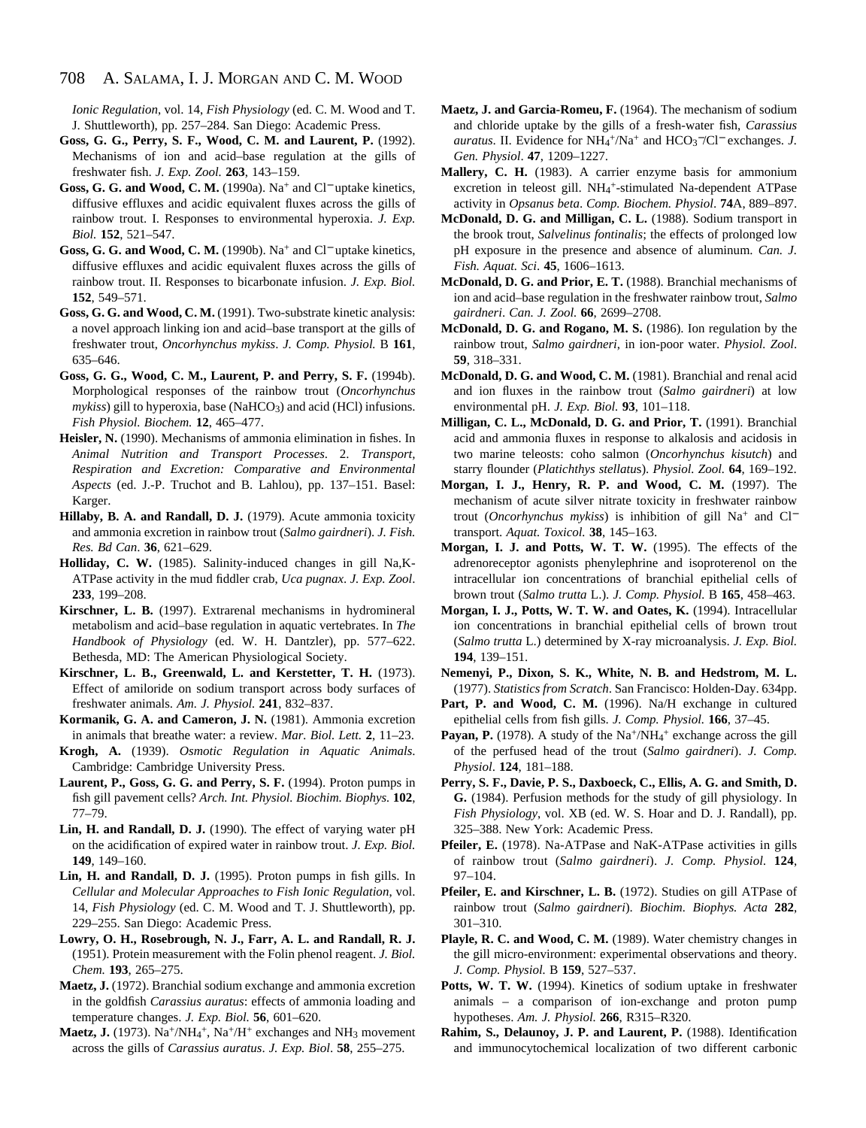*Ionic Regulation*, vol. 14, *Fish Physiology* (ed. C. M. Wood and T. J. Shuttleworth), pp. 257–284. San Diego: Academic Press.

- **Goss, G. G., Perry, S. F., Wood, C. M. and Laurent, P.** (1992). Mechanisms of ion and acid–base regulation at the gills of freshwater fish. *J. Exp. Zool.* **263**, 143–159.
- **Goss, G. G. and Wood, C. M.** (1990a). Na+ and Cl<sup>−</sup> uptake kinetics, diffusive effluxes and acidic equivalent fluxes across the gills of rainbow trout. I. Responses to environmental hyperoxia. *J. Exp. Biol.* **152**, 521–547.
- **Goss, G. G. and Wood, C. M.** (1990b). Na<sup>+</sup> and Cl<sup>−</sup> uptake kinetics, diffusive effluxes and acidic equivalent fluxes across the gills of rainbow trout. II. Responses to bicarbonate infusion. *J. Exp. Biol.* **152**, 549–571.
- **Goss, G. G. and Wood, C. M.** (1991). Two-substrate kinetic analysis: a novel approach linking ion and acid–base transport at the gills of freshwater trout, *Oncorhynchus mykiss*. *J. Comp. Physiol.* B **161**, 635–646.
- **Goss, G. G., Wood, C. M., Laurent, P. and Perry, S. F.** (1994b). Morphological responses of the rainbow trout (*Oncorhynchus mykiss*) gill to hyperoxia, base (NaHCO<sub>3</sub>) and acid (HCl) infusions. *Fish Physiol. Biochem.* **12**, 465–477.
- **Heisler, N.** (1990). Mechanisms of ammonia elimination in fishes. In *Animal Nutrition and Transport Processes*. 2. *Transport, Respiration and Excretion: Comparative and Environmental Aspects* (ed. J.-P. Truchot and B. Lahlou), pp. 137–151. Basel: Karger.
- **Hillaby, B. A. and Randall, D. J.** (1979). Acute ammonia toxicity and ammonia excretion in rainbow trout (*Salmo gairdneri*). *J. Fish. Res. Bd Can*. **36**, 621–629.
- **Holliday, C. W.** (1985). Salinity-induced changes in gill Na,K-ATPase activity in the mud fiddler crab, *Uca pugnax*. *J. Exp. Zool*. **233**, 199–208.
- **Kirschner, L. B.** (1997). Extrarenal mechanisms in hydromineral metabolism and acid–base regulation in aquatic vertebrates. In *The Handbook of Physiology* (ed. W. H. Dantzler), pp. 577–622. Bethesda, MD: The American Physiological Society.
- **Kirschner, L. B., Greenwald, L. and Kerstetter, T. H.** (1973). Effect of amiloride on sodium transport across body surfaces of freshwater animals. *Am. J. Physiol.* **241**, 832–837.
- **Kormanik, G. A. and Cameron, J. N.** (1981). Ammonia excretion in animals that breathe water: a review. *Mar. Biol. Lett.* **2**, 11–23.
- **Krogh, A.** (1939). *Osmotic Regulation in Aquatic Animals*. Cambridge: Cambridge University Press.
- **Laurent, P., Goss, G. G. and Perry, S. F.** (1994). Proton pumps in fish gill pavement cells? *Arch. Int. Physiol. Biochim. Biophys.* **102**, 77–79.
- **Lin, H. and Randall, D. J.** (1990). The effect of varying water pH on the acidification of expired water in rainbow trout. *J. Exp. Biol.* **149**, 149–160.
- **Lin, H. and Randall, D. J.** (1995). Proton pumps in fish gills. In *Cellular and Molecular Approaches to Fish Ionic Regulation*, vol. 14, *Fish Physiology* (ed. C. M. Wood and T. J. Shuttleworth), pp. 229–255. San Diego: Academic Press.
- **Lowry, O. H., Rosebrough, N. J., Farr, A. L. and Randall, R. J.** (1951). Protein measurement with the Folin phenol reagent. *J. Biol. Chem.* **193**, 265–275.
- **Maetz, J.** (1972). Branchial sodium exchange and ammonia excretion in the goldfish *Carassius auratus*: effects of ammonia loading and temperature changes. *J. Exp. Biol.* **56**, 601–620.
- Maetz, J. (1973). Na<sup>+</sup>/NH<sub>4</sub><sup>+</sup>, Na<sup>+</sup>/H<sup>+</sup> exchanges and NH<sub>3</sub> movement across the gills of *Carassius auratus*. *J. Exp. Biol*. **58**, 255–275.
- **Maetz, J. and Garcia-Romeu, F.** (1964). The mechanism of sodium and chloride uptake by the gills of a fresh-water fish, *Carassius auratus*. II. Evidence for NH<sub>4</sub><sup>+</sup>/Na<sup>+</sup> and HCO<sub>3</sub><sup>−</sup>/Cl<sup>−</sup> exchanges. *J*. *Gen. Physiol*. **47**, 1209–1227.
- **Mallery, C. H.** (1983). A carrier enzyme basis for ammonium excretion in teleost gill. NH<sub>4</sub>+-stimulated Na-dependent ATPase activity in *Opsanus beta*. *Comp. Biochem. Physiol*. **74**A, 889–897.
- **McDonald, D. G. and Milligan, C. L.** (1988). Sodium transport in the brook trout, *Salvelinus fontinalis*; the effects of prolonged low pH exposure in the presence and absence of aluminum. *Can. J. Fish. Aquat. Sci*. **45**, 1606–1613.
- **McDonald, D. G. and Prior, E. T.** (1988). Branchial mechanisms of ion and acid–base regulation in the freshwater rainbow trout, *Salmo gairdneri*. *Can. J. Zool.* **66**, 2699–2708.
- **McDonald, D. G. and Rogano, M. S.** (1986). Ion regulation by the rainbow trout, *Salmo gairdneri*, in ion-poor water. *Physiol. Zool*. **59**, 318–331.
- **McDonald, D. G. and Wood, C. M.** (1981). Branchial and renal acid and ion fluxes in the rainbow trout (*Salmo gairdneri*) at low environmental pH. *J. Exp. Biol.* **93**, 101–118.
- **Milligan, C. L., McDonald, D. G. and Prior, T.** (1991). Branchial acid and ammonia fluxes in response to alkalosis and acidosis in two marine teleosts: coho salmon (*Oncorhynchus kisutch*) and starry flounder (*Platichthys stellatu*s). *Physiol. Zool.* **64**, 169–192.
- **Morgan, I. J., Henry, R. P. and Wood, C. M.** (1997). The mechanism of acute silver nitrate toxicity in freshwater rainbow trout (*Oncorhynchus mykiss*) is inhibition of gill Na+ and Cl<sup>−</sup> transport. *Aquat. Toxicol.* **38**, 145–163.
- **Morgan, I. J. and Potts, W. T. W.** (1995). The effects of the adrenoreceptor agonists phenylephrine and isoproterenol on the intracellular ion concentrations of branchial epithelial cells of brown trout (*Salmo trutta* L.). *J. Comp. Physiol.* B **165**, 458–463.
- **Morgan, I. J., Potts, W. T. W. and Oates, K.** (1994). Intracellular ion concentrations in branchial epithelial cells of brown trout (*Salmo trutta* L.) determined by X-ray microanalysis. *J. Exp. Biol.* **194**, 139–151.
- **Nemenyi, P., Dixon, S. K., White, N. B. and Hedstrom, M. L.** (1977). *Statistics from Scratch*. San Francisco: Holden-Day. 634pp.
- Part, P. and Wood, C. M. (1996). Na/H exchange in cultured epithelial cells from fish gills. *J. Comp. Physiol.* **166**, 37–45.
- Payan, P. (1978). A study of the Na<sup>+</sup>/NH<sub>4</sub><sup>+</sup> exchange across the gill of the perfused head of the trout (*Salmo gairdneri*). *J. Comp. Physiol*. **124**, 181–188.
- **Perry, S. F., Davie, P. S., Daxboeck, C., Ellis, A. G. and Smith, D. G.** (1984). Perfusion methods for the study of gill physiology. In *Fish Physiology*, vol. XB (ed. W. S. Hoar and D. J. Randall), pp. 325–388. New York: Academic Press.
- **Pfeiler, E.** (1978). Na-ATPase and NaK-ATPase activities in gills of rainbow trout (*Salmo gairdneri*). *J. Comp. Physiol.* **124**, 97–104.
- **Pfeiler, E. and Kirschner, L. B.** (1972). Studies on gill ATPase of rainbow trout (*Salmo gairdneri*). *Biochim. Biophys. Acta* **282**, 301–310.
- **Playle, R. C. and Wood, C. M.** (1989). Water chemistry changes in the gill micro-environment: experimental observations and theory. *J. Comp. Physiol.* B **159**, 527–537.
- **Potts, W. T. W.** (1994). Kinetics of sodium uptake in freshwater animals – a comparison of ion-exchange and proton pump hypotheses. *Am. J. Physiol.* **266**, R315–R320.
- **Rahim, S., Delaunoy, J. P. and Laurent, P.** (1988). Identification and immunocytochemical localization of two different carbonic